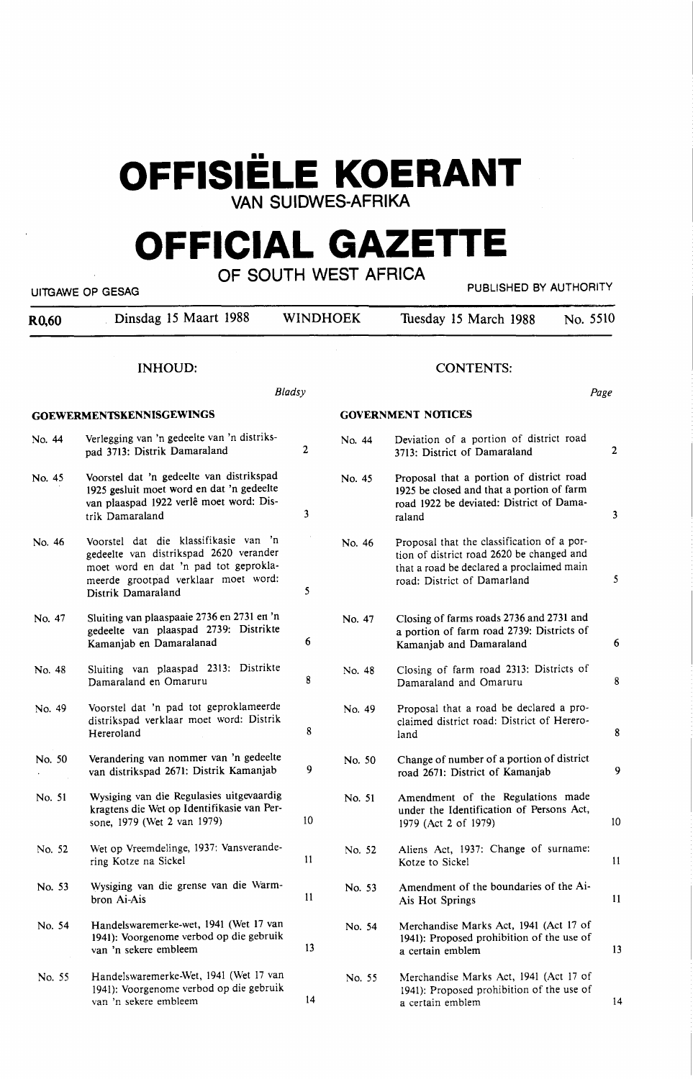# **OFFISIELE KOERANT**

**VAN SUIDWES-AFRIKA** 

# **OFFICIAL GAZETTE OF SOUTH WEST AFRICA**

|        | חטורו חזו וטבוא ווויטטס<br>PUBLISHED BY AUTHORITY<br>UITGAWE OP GESAG                                                                                                                 |                 |        |                                                                                                                                                                     |                 |  |  |  |  |
|--------|---------------------------------------------------------------------------------------------------------------------------------------------------------------------------------------|-----------------|--------|---------------------------------------------------------------------------------------------------------------------------------------------------------------------|-----------------|--|--|--|--|
| R0,60  | Dinsdag 15 Maart 1988                                                                                                                                                                 | <b>WINDHOEK</b> |        | Tuesday 15 March 1988                                                                                                                                               | No. 5510        |  |  |  |  |
|        | <b>INHOUD:</b>                                                                                                                                                                        |                 |        | <b>CONTENTS:</b>                                                                                                                                                    |                 |  |  |  |  |
|        |                                                                                                                                                                                       | <b>Bladsy</b>   |        |                                                                                                                                                                     | Page            |  |  |  |  |
|        | <b>GOEWERMENTSKENNISGEWINGS</b>                                                                                                                                                       |                 |        | <b>GOVERNMENT NOTICES</b>                                                                                                                                           |                 |  |  |  |  |
| No. 44 | Verlegging van 'n gedeelte van 'n distriks-<br>pad 3713: Distrik Damaraland                                                                                                           | 2               | No. 44 | Deviation of a portion of district road<br>3713: District of Damaraland                                                                                             | $\overline{2}$  |  |  |  |  |
| No. 45 | Voorstel dat 'n gedeelte van distrikspad<br>1925 gesluit moet word en dat 'n gedeelte<br>van plaaspad 1922 verlê moet word: Dis-<br>trik Damaraland                                   | 3               | No. 45 | Proposal that a portion of district road<br>1925 be closed and that a portion of farm<br>road 1922 be deviated: District of Dama-<br>raland                         | $\mathbf{3}$    |  |  |  |  |
| No. 46 | Voorstel dat die klassifikasie van 'n<br>gedeelte van distrikspad 2620 verander<br>moet word en dat 'n pad tot geprokla-<br>meerde grootpad verklaar moet word:<br>Distrik Damaraland | 5               | No. 46 | Proposal that the classification of a por-<br>tion of district road 2620 be changed and<br>that a road be declared a proclaimed main<br>road: District of Damarland | 5               |  |  |  |  |
| No. 47 | Sluiting van plaaspaaie 2736 en 2731 en 'n<br>gedeelte van plaaspad 2739: Distrikte<br>Kamanjab en Damaralanad                                                                        | 6               | No. 47 | Closing of farms roads 2736 and 2731 and<br>a portion of farm road 2739: Districts of<br>Kamanjab and Damaraland                                                    | 6               |  |  |  |  |
| No. 48 | Sluiting van plaaspad 2313: Distrikte<br>Damaraland en Omaruru                                                                                                                        | 8               | No. 48 | Closing of farm road 2313: Districts of<br>Damaraland and Omaruru                                                                                                   | 8               |  |  |  |  |
| No. 49 | Voorstel dat 'n pad tot geproklameerde<br>distrikspad verklaar moet word: Distrik<br>Hereroland                                                                                       | 8               | No. 49 | Proposal that a road be declared a pro-<br>claimed district road: District of Herero-<br>land                                                                       | 8               |  |  |  |  |
| No. 50 | Verandering van nommer van 'n gedeelte<br>van distrikspad 2671: Distrik Kamanjab                                                                                                      | 9               | No. 50 | Change of number of a portion of district<br>road 2671: District of Kamanjab                                                                                        | 9               |  |  |  |  |
| No. 51 | Wysiging van die Regulasies uitgevaardig<br>kragtens die Wet op Identifikasie van Per-<br>sone, 1979 (Wet 2 van 1979)                                                                 | 10              | No. 51 | Amendment of the Regulations made<br>under the Identification of Persons Act,<br>1979 (Act 2 of 1979)                                                               | 10 <sup>°</sup> |  |  |  |  |
| No. 52 | Wet op Vreemdelinge, 1937: Vansverande-<br>ring Kotze na Sickel                                                                                                                       | $\mathbf{11}$   | No. 52 | Aliens Act, 1937: Change of surname:<br>Kotze to Sickel                                                                                                             | 11              |  |  |  |  |
| No. 53 | Wysiging van die grense van die Warm-<br>bron Ai-Ais                                                                                                                                  | 11              | No. 53 | Amendment of the boundaries of the Ai-<br>Ais Hot Springs                                                                                                           | 11              |  |  |  |  |
| No. 54 | Handelswaremerke-wet, 1941 (Wet 17 van<br>1941): Voorgenome verbod op die gebruik<br>van 'n sekere embleem                                                                            | 13              | No. 54 | Merchandise Marks Act, 1941 (Act 17 of<br>1941): Proposed prohibition of the use of<br>a certain emblem                                                             | 13              |  |  |  |  |
| No. 55 | Handelswaremerke-Wet, 1941 (Wet 17 van<br>1941): Voorgenome verbod op die gebruik<br>van 'n sekere embleem                                                                            | 14              | No. 55 | Merchandise Marks Act, 1941 (Act 17 of<br>1941): Proposed prohibition of the use of<br>a certain emblem                                                             | 14              |  |  |  |  |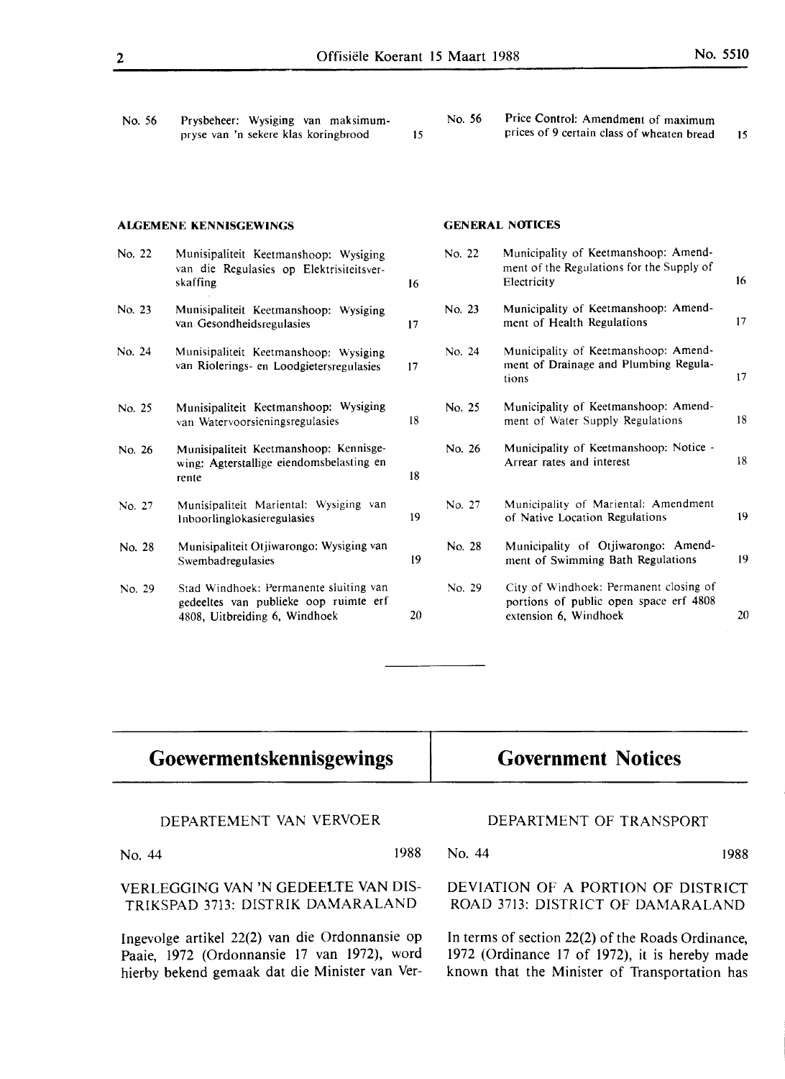| No. 56 | Prysbeheer: Wysiging van maksimum-<br>pryse van 'n sekere klas koringbrood                                       | 15 | No. 56 | Price Control: Amendment of maximum<br>prices of 9 certain class of wheaten bread                         | 15               |
|--------|------------------------------------------------------------------------------------------------------------------|----|--------|-----------------------------------------------------------------------------------------------------------|------------------|
|        | <b>ALGEMENE KENNISGEWINGS</b>                                                                                    |    |        | <b>GENERAL NOTICES</b>                                                                                    |                  |
| No. 22 | Munisipaliteit Keetmanshoop: Wysiging<br>van die Regulasies op Elektrisiteitsver-<br>skaffing                    | 16 | No. 22 | Municipality of Keetmanshoop: Amend-<br>ment of the Regulations for the Supply of<br>Electricity          | 16 <sup>16</sup> |
| No. 23 | Munisipaliteit Keetmanshoop: Wysiging<br>van Gesondheidsregulasies                                               | 17 | No. 23 | Municipality of Keetmanshoop: Amend-<br>ment of Health Regulations                                        | 17               |
| No. 24 | Munisipaliteit Keetmanshoop: Wysiging<br>van Riolerings- en Loodgietersregulasies                                | 17 | No. 24 | Municipality of Keetmanshoop: Amend-<br>ment of Drainage and Plumbing Regula-<br>tions                    | 17               |
| No. 25 | Munisipaliteit Keetmanshoop: Wysiging<br>van Watervoorsieningsregulasies                                         | 18 | No. 25 | Municipality of Keetmanshoop: Amend-<br>ment of Water Supply Regulations                                  | 18               |
| No. 26 | Munisipaliteit Keetmanshoop: Kennisge-<br>wing: Agterstallige eiendomsbelasting en<br>rente                      | 18 | No. 26 | Municipality of Keetmanshoop: Notice -<br>Arrear rates and interest                                       | 18               |
| No. 27 | Munisipaliteit Mariental: Wysiging van<br>Inboorlinglokasieregulasies                                            | 19 | No. 27 | Municipality of Mariental: Amendment<br>of Native Location Regulations                                    | 19               |
| No. 28 | Munisipaliteit Otjiwarongo: Wysiging van<br>Swembadregulasies                                                    | 19 | No. 28 | Municipality of Otjiwarongo: Amend-<br>ment of Swimming Bath Regulations                                  | 19               |
| No. 29 | Stad Windhoek: Permanente sluiting van<br>gedeeltes van publieke oop ruimte erf<br>4808, Uitbreiding 6, Windhoek | 20 | No. 29 | City of Windhoek: Permanent closing of<br>portions of public open space erf 4808<br>extension 6, Windhoek | 20               |

| Goewermentskennisgewings                       | <b>Government Notices</b><br>DEPARTMENT OF TRANSPORT |  |  |
|------------------------------------------------|------------------------------------------------------|--|--|
| DEPARTEMENT VAN VERVOER                        |                                                      |  |  |
| 1988                                           | No. 44                                               |  |  |
| No. 44                                         | 1988                                                 |  |  |
| VERLEGGING VAN 'N GEDEELTE VAN DIS-            | DEVIATION OF A PORTION OF DISTRICT                   |  |  |
| TRIKSPAD 3713: DISTRIK DAMARALAND              | ROAD 3713: DISTRICT OF DAMARALAND                    |  |  |
| Ingevolge artikel 22(2) van die Ordonnansie op | In terms of section 22(2) of the Roads Ordinance,    |  |  |
| Paaie, 1972 (Ordonnansie 17 van 1972), word    | 1972 (Ordinance 17 of 1972), it is hereby made       |  |  |
| hierby bekend gemaak dat die Minister van Ver- | known that the Minister of Transportation has        |  |  |

 $\overline{a}$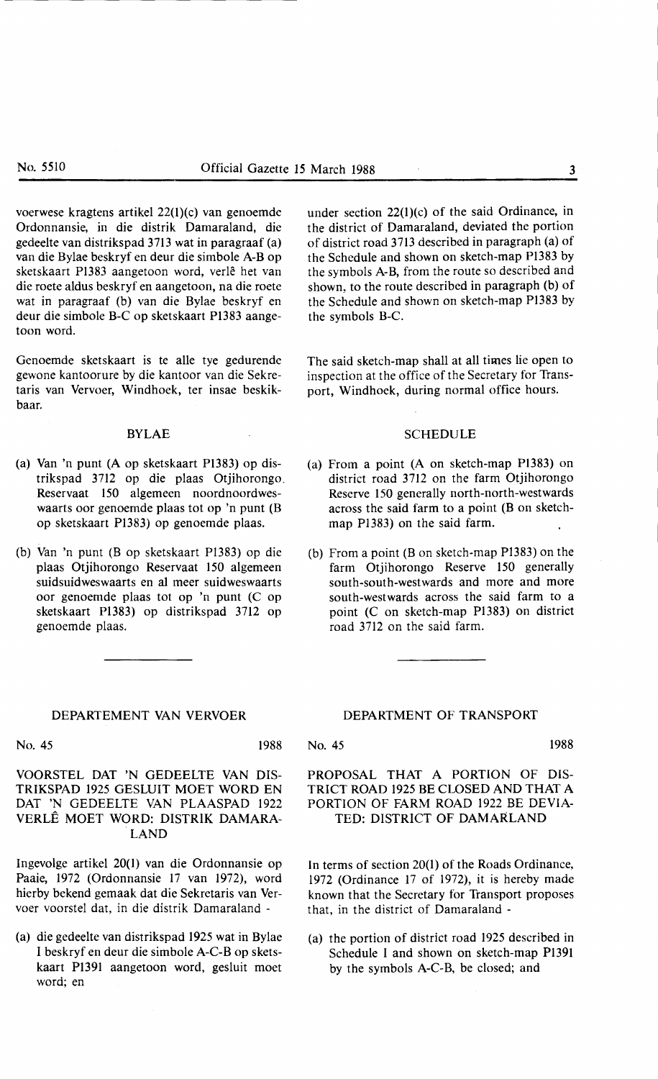voerwese kragtens artikel 22(l)(c) van genoemde Ordonnansie, in die distrik Damaraland, die gedeelte van distrikspad 3713 wat in paragraaf (a) van die Bylae beskryf en deur die simbole A-Bop sketskaart P1383 aangetoon word, verlê het van die roete aldus beskryf en aangetoon, na die roete wat in paragraaf (b) van die Bylae beskryf en deur die simbole B-C op sketskaart **P1383** aangetoon word.

Genoemde sketskaart is te alle tye gedurende gewone kantoorure by die kantoor van die Sekretaris van Vervoer, Windhoek, ter insae beskikbaar.

#### BYLAE

- (a) Van 'n punt (A op sketskaart Pl383) op distrikspad 3712 op die plaas Otjihorongo. Reservaat 150 algemeen noordnoordweswaarts oor genoemde plaas tot op 'n punt (B op sketskaart P1383) op genoemde plaas.
- (b) Van 'n punt (B op sketskaart P1383) op die plaas Otjihorongo Reservaat 150 algemeen suidsuidweswaarts en al meer suidweswaarts oor genoemde plaas tot op 'n punt (C op sketskaart Pl383) op distrikspad 3712 op genoemde plaas.

#### DEPARTEMENT VAN VERVOER

No. 45 1988

VOORSTEL DAT 'N GEDEELTE VAN DIS-TRIKSPAD 1925 GESLUIT MOET WORD EN DAT 'N GEDEELTE VAN PLAASPAD 1922 VERLE MOET WORD: DISTRIK DAMARA- .LAND

Ingevolge artikel 20(1) van die Ordonnansie op Paaie, 1972 (Ordonnansie 17 van 1972), word hierby bekend gemaak dat die Sekretaris van Vervoer voorstel dat, in die distrik Damaraland -

(a) die gedeelte van distrikspad 1925 wat in Bylae I beskryf en deur die simbole A-C-B op sketskaart P1391 aangetoon word, gesluit moet word; en

under section 22(1)(c) of the said Ordinance, in the district of Damaraland, deviated the portion of district road 3713 described in paragraph (a) of the Schedule and shown on sketch-map Pl383 by the symbols **A-B,** from the route so described and shown, to the route described in paragraph (b) of the Schedule and shown on sketch-map Pl383 by the symbols B-C.

The said sketch-map shall at all times lie open to inspection at the office of the Secretary for Transport, Windhoek, during normal office hours.

#### SCHEDULE

- (a) From a point (A on sketch-map Pl383) on district road 3712 on the farm Otjihorongo Reserve 150 generally north-north-westwards across the said farm to a point (B on sketchmap P1383) on the said farm.
- (b) From a point (Bon sketch-map P1383) on the farm Otjihorongo Reserve 150 generally south-south-westwards and more and more south-westwards across the said farm to a point (C on sketch-map Pl383) on district road 3712 on the said farm.

DEPARTMENT OF TRANSPORT

No. 45 1988

**PROPOSAL THAT A PORTION** OF **DIS-**TRICT ROAD 1925 BE CLOSED AND THAT A **PORTION** OF **FARM ROAD 1922** BE **DEVIA-**TED: DISTRICT OF DAMARLAND

In terms of section 20(1) of the Roads Ordinance, 1972 (Ordinance 17 of 1972), it is hereby made known that the Secretary for Transport proposes that, in the district of Damaraland -

(a) the portion of district road 1925 described in Schedule I and shown on sketch-map P1391 by the symbols A-C-B, be closed; and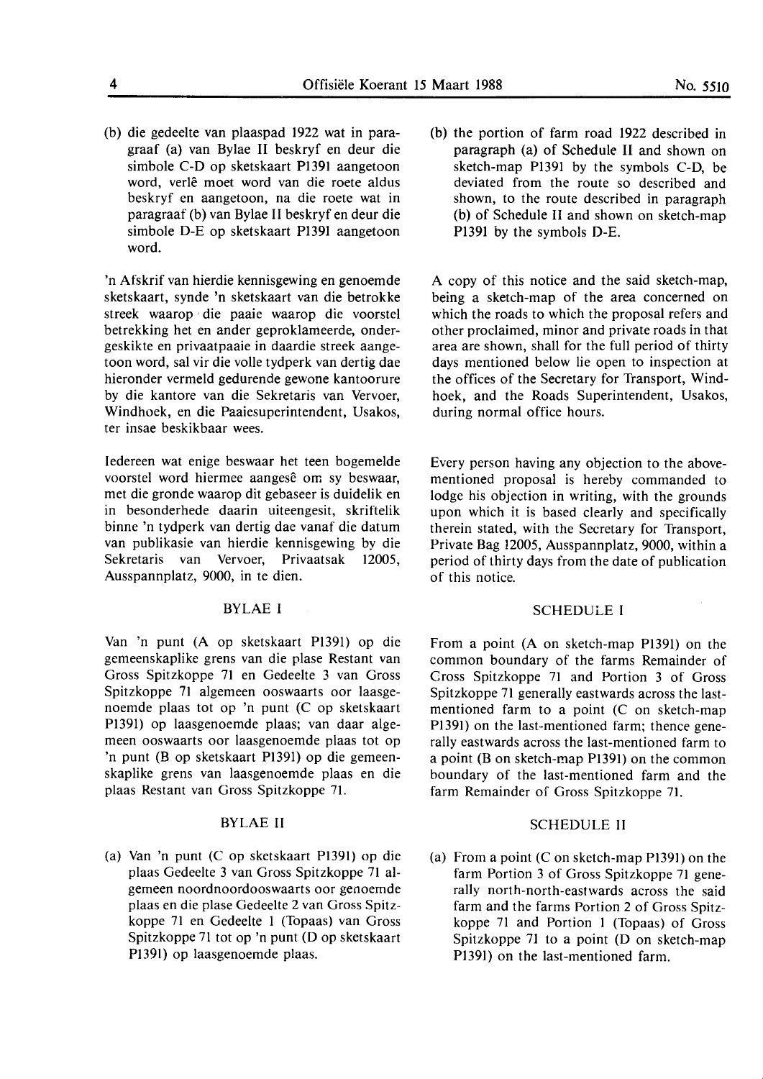(b) die gedeelte van plaaspad 1922 wat in paragraaf (a) van Bylae II beskryf en deur die simbole C-D op sketskaart Pl391 aangetoon word, verle moet word van die roete aldus beskryf en aangetoon, na die roete wat in paragraaf (b) van Bylae II beskryf en deur die simbole D-E op sketskaart Pl391 aangetoon word.

'n Afskrif van hierdie kennisgewing en genoemde sketskaart, synde 'n sketskaart van die betrokke streek waarop · die paaie waarop die voorstel betrekking het en ander geproklameerde, ondergeskikte en privaatpaaie in daardie streek aangetoon word, sal vir die volle tydperk van dertig dae hieronder vermeld gedurende gewone kantoorure by die kantore van die Sekretaris van Vervoer, Windhoek, en die Paaiesuperintendent, Usakos, ter insae beskikbaar wees.

ledereen wat enige beswaar het teen bogemelde voorstel word hiermee aangesê om sy beswaar, met die gronde waarop dit gebaseer is duidelik en in besonderhede daarin uiteengesit, skriftelik binne 'n tydperk van dertig dae vanaf die datum van publikasie van hierdie kennisgewing by die Sekretaris van Vervoer, Privaatsak 12005, Ausspannplatz, 9000, in te dien.

#### BYLAE I

Van 'n punt (A op sketskaart Pl391) op die gemeenskaplike grens van die plase Restant van Gross Spitzkoppe 71 en Gedeelte 3 van Gross Spitzkoppe 71 algemeen ooswaarts oor laasgenoemde plaas tot op 'n punt (C op sketskaart Pl391) op laasgenoemde plaas; van daar algemeen ooswaarts oor laasgenoemde plaas tot op 'n punt (B op sketskaart Pl391) op die gemeenskaplike grens van laasgenoemde plaas en die plaas Restant van Gross Spitzkoppe 71.

#### BYLAE II

(a) Van 'n punt (C op sketskaart P1391) op die plaas Gedeelte 3 van Gross Spitzkoppe 71 algemeen noordnoordooswaarts oor genoemde plaas en die plase Gedeelte 2 van Gross Spitzkoppe 71 en Gedeelte 1 (Topaas) van Gross Spitzkoppe 71 tot op 'n punt (D op sketskaart P1391) op laasgenoemde plaas.

(b) the portion of farm road 1922 described in paragraph (a) of Schedule II and shown on sketch-map Pl391 by the symbols C-D, be deviated from the route so described and shown, to the route described in paragraph (b) of Schedule II and shown on sketch-map Pl391 by the symbols D-E.

A copy of this notice and the said sketch-map, being a sketch-map of the area concerned on which the roads to which the proposal refers and other proclaimed, minor and private roads in that area are shown, shall for the full period of thirty days mentioned below lie open to inspection at the offices of the Secretary for Transport, Windhoek, and the Roads Superintendent, Usakos, during normal office hours.

Every person having any objection to the abovementioned proposal is hereby commanded to lodge his objection in writing, with the grounds upon which it is based clearly and specifically therein stated, with the Secretary for Transport, Private Bag 12005, Ausspannplatz, 9000, within a period of thirty days from the date of publication of this notice.

### SCHEDULE I

From a point (A on sketch-map P1391) on the common boundary of the farms Remainder of Cross Spitzkoppe 71 and Portion 3 of Gross Spitzkoppe 71 generally eastwards across the lastmentioned farm to a point (C on sketch-map Pl391) on the last-mentioned farm; thence generally eastwards across the last-mentioned farm to a point (B on sketch-map P1391) on the common boundary of the last-mentioned farm and the farm Remainder of Gross Spitzkoppe 71.

#### SCHEDULE II

(a) From a point  $(C \text{ on sketch-map } P1391)$  on the farm Portion 3 of Gross Spitzkoppe 71 generally north-north-eastwards across the said farm and the farms Portion 2 of Gross Spitzkoppe 71 and Portion 1 (Topaas) of Gross Spitzkoppe 71 to a point (D on sketch-map P1391) on the last-mentioned farm.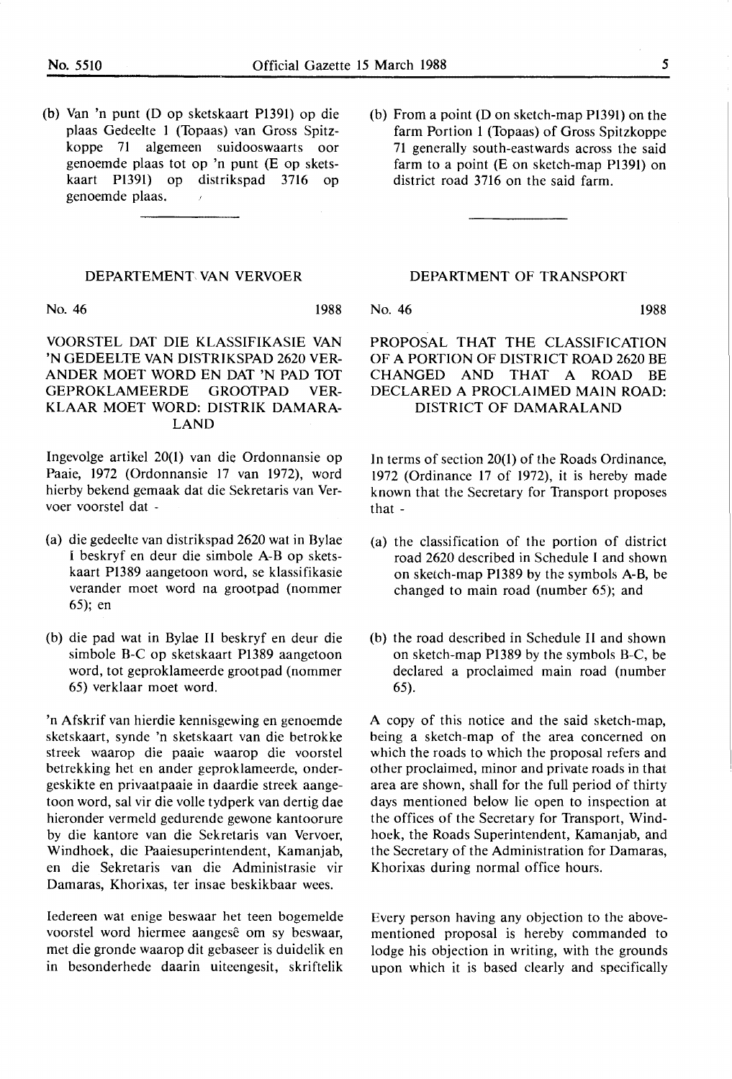(b) Van 'n punt (D op sketskaart Pl391) op die plaas Gedeelte 1 (Topaas) van Gross Spitzkoppe 71 algemeen suidooswaarts oor genoemde plaas tot op 'n punt (E op sketskaart P1391) op distrikspad 3716 op genoemde plaas.  $\lambda$ 

#### **DEPARTEMENT VAN VERVOER**

No. 46 1988

**VOORSTEL DAT DIE KLASSIFIKASIE VAN**  'N GEDEELTE **VAN DISTRJKSPAD** 2620 **VER-ANDER MOET WORD EN DAT 'N PAD TOT GEPROKLAMEERDE GROOTPAD VER-KLAAR MOET WORD: DISTRIK DAMARA-LAND** 

Ingevolge artikel 20(1) van die Ordonnansie op Paaie, 1972 (Ordonnansie 17 van 1972), word hierby bekend gemaak dat die Sekretaris van Vervoer voorstel dat -

- (a) die gedeelte van distrikspad 2620 wat in Bylae I beskryf en deur die simbole A-B op sketskaart P1389 aangetoon word, se klassifikasie verander moet word na grootpad (nommer 65); en
- (b) die pad wat in Bylae II beskryf en deur die simbole B-C op sketskaart P1389 aangetoon word, tot geproklameerde grootpad (nommer 65) verklaar moet word.

'n Afskrif van hierdie kennisgewing en genoemde sketskaart, synde 'n sketskaart van die betrokke streek waarop die paaie waarop die voorstel betrekking het en ander geproklameerde, ondergeskikte en privaatpaaie in daardie streek aangetoon word, sal vir die voile tydperk van dertig dae hieronder vermeld gedurende gewone kantoorure by die kantore van die Sekretaris van Vervoer, Windhoek, die Paaiesuperintendent, Kamanjab, en die Sekretaris van die Administrasie vir Damaras, Khorixas, ter insae beskikbaar wees.

Iedereen wat enige beswaar het teen bogemelde voorstel word hiermee aangesê om sy beswaar, met die gronde waarop dit gebaseer is duidelik en in besonderhede daarin uiteengesit, skriftelik (b) From a point (Don sketch-map Pl391) on the farm Portion 1 (Topaas) of Gross Spitzkoppe 71 generally south-eastwards across the said farm to a point (E on sketch-map P1391) on district road 3716 on the said farm.

#### **DEPARTMENT** OF **TRANSPORT**

No. 46 1988

**PROPOSAL THAT THE CLASSIFICATION OF A PORTION** OF **DISTRICT ROAD** 2620 **BE CHANGED AND THAT A ROAD** BE **DECLARED A PROCLAIMED MAIN ROAD: DISTRICT** OF **DAMARALAND** 

In terms of section 20(1) of the Roads Ordinance, 1972 (Ordinance 17 of 1972), it is hereby made known that the Secretary for Transport proposes that -

- (a) the classification of the portion of district road 2620 described in Schedule I and shown on sketch-map P1389 by the symbols A-B, be changed to main road (number 65); and
- (b) the road described in Schedule II and shown on sketch-map P1389 by the symbols B-C, be declared a proclaimed main road (number 65).

A copy of this notice and the said sketch-map, being a sketch-map of the area concerned on which the roads to which the proposal refers and other proclaimed, minor and private roads in that area are shown, shall for the full period of thirty days mentioned below lie open to inspection at the offices of the Secretary for Transport, Windhoek, the Roads Superintendent, Kamanjab, and the Secretary of the Administration for Damaras, Khorixas during normal office hours.

Every person having any objection to the abovementioned proposal is hereby commanded to lodge his objection in writing, with the grounds upon which it is based clearly and specifically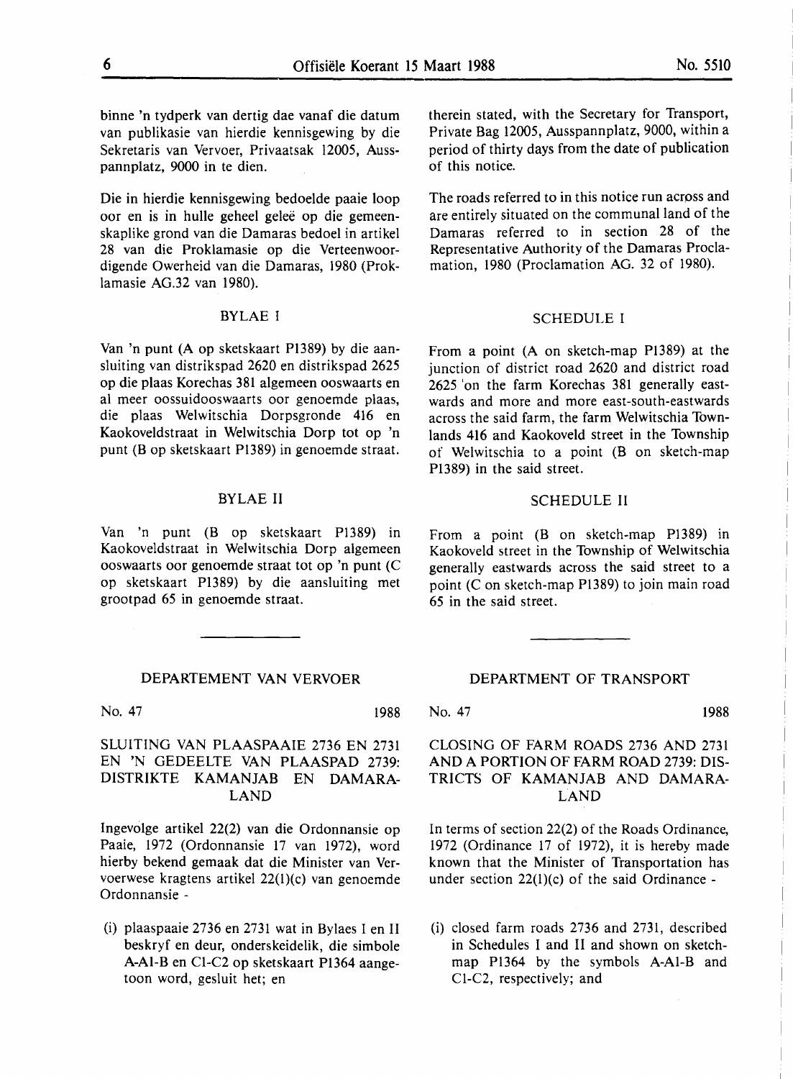binne 'n tydperk van dertig dae vanaf die datum van publikasie van hierdie kennisgewing by die Sekretaris van Vervoer, Privaatsak 12005, Ausspannplatz, 9000 in te dien.

Die in hierdie kennisgewing bedoelde paaie loop oor en is in hulle geheel gelee op die gemeenskaplike grond van die Damaras bedoel in artikel 28 van die Proklamasie op die Verteenwoordigende Owerheid van die Damaras, 1980 (Proklamasie AG.32 van 1980).

#### **BYLAE** I

Van 'n punt (A op sketskaart P1389) by die aansluiting van distrikspad 2620 en distrikspad 2625 op die plaas Korechas 381 algemeen ooswaarts en al meer oossuidooswaarts oor genoemde plaas, die plaas Welwitschia Dorpsgronde 416 en Kaokoveldstraat in Welwitschia Dorp tot op 'n punt (B op sketskaart Pl389) in genoemde straat.

#### BYLAE II

Van 'n punt (B op sketskaart Pl389) in Kaokoveldstraat in Welwitschia Dorp algemeen ooswaarts oor genoemde straat tot op 'n punt (C op sketskaart P1389) by die aansluiting met grootpad 65 in genoemde straat.

#### DEPARTEMENT VAN VERVOER

No. 47 1988

#### **SLUITING VAN PLAASPAAIE** 2736 EN 2731 EN 'N GEDEELTE **VAN PLAASPAD** 2739: **DISTRIKTE KAMANJAB** EN **DAMARA-LAND**

Ingevolge artikel 22(2) van die Ordonnansie op Paaie, 1972 (Ordonnansie 17 van 1972), word hierby bekend gemaak dat die Minister van Vervoerwese kragtens artikel 22(l)(c) van genoemde Ordonnansie -

(i) plaaspaaie 2736 en 2731 wat in Bylaes I en II beskryf en deur, onderskeidelik, die simbole A-Al-Ben Cl-C2 op sketskaart P1364 aangetoon word, gesluit het; en

therein stated, with the Secretary for Transport, Private Bag 12005, Ausspannplatz, 9000, within a period of thirty days from the date of publication of this notice.

The roads referred to in this notice run across and are entirely situated on the communal land of the Damaras referred to in section 28 of the Representative Authority of the Damaras Proclamation, 1980 (Proclamation AG. 32 of 1980).

#### SCHEDULE I

From a point (A on sketch-map P1389) at the junction of district road 2620 and district road 2625 'on the farm Korechas 381 generally eastwards and more and more east-south-eastwards across the said farm, the farm Welwitschia Townlands 416 and Kaokoveld street in the Township of Welwitschia to a point (B on sketch-map Pl389) in the said street.

#### SCHEDULE II

From a point (B on sketch-map P1389) in Kaokoveld street in the Township of Welwitschia generally eastwards across the said street to a point (C on sketch-map P1389) to join main road 65 in the said street.

#### DEPARTMENT OF TRANSPORT

No. 47 1988

#### CLOSING OF FARM ROADS 2736 AND 2731 AND A PORTION OF FARM ROAD 2739: DIS-TRICTS OF KAMANJAB AND DAMARA-LAND

In terms of section 22(2) of the Roads Ordinance, 1972 (Ordinance 17 of 1972), it is hereby made known that the Minister of Transportation has under section  $22(1)(c)$  of the said Ordinance -

(i) closed farm roads 2736 and 2731, described in Schedules I and II and shown on sketchmap Pl364 by the symbols **A-Al-B** and Cl-C2, respectively; and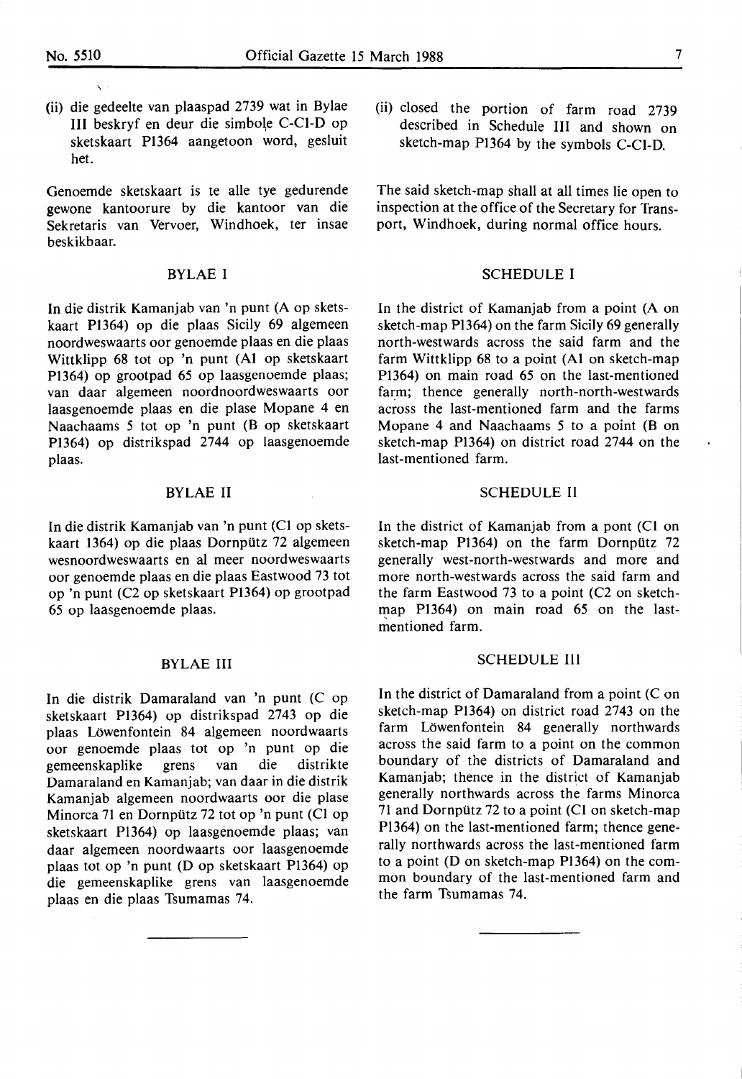\

(ii) die gedeelte van plaaspad 2739 wat in Bylae III beskryf en deur die simbole C-Cl-D op sketskaart Pl364 aangetoon word, gesluit het.

Genoemde sketskaart is te alle tye gedurende gewone kantoorure by die kantoor van die Sekretaris van Vervoer, Windhoek, ter insae beskikbaar.

#### BYLAE I

In die distrik Kamanjab van 'n punt (A op sketskaart P1364) op die plaas Sicily 69 algemeen noordweswaarts oor genoemde plaas en die plaas Wittklipp 68 tot op 'n punt (Al op sketskaart P1364) op grootpad 65 op laasgenoemde plaas; van daar algemeen noordnoordweswaarts oor laasgenoemde plaas en die plase Mopane 4 en Naachaams *5* tot op 'n punt (B op sketskaart P1364) op distrikspad 2744 op laasgenoemde plaas.

#### BYLAE II

In die distrik Kamanjab van 'n punt (Cl op sketskaart 1364) op die plaas Dornpiltz 72 algemeen wesnoordweswaarts en al meer noordweswaarts oor genoemde plaas en die plaas Eastwood 73 tot op 'n punt (C2 op sketskaart P1364) op grootpad 65 op laasgenoemde plaas.

#### **BYLAE** III

In die distrik Damaraland van 'n punt (C op sketskaart P1364) op distrikspad 2743 op die plaas Lowenfontein 84 algemeen noordwaarts oor genoemde plaas tot op 'n punt op die gemeenskaplike grens van die distrikte Damaraland en Kamanjab; van daar in die distrik Kamanjab algemeen noordwaarts oor die plase Minorca 71 en Dornpiltz 72 tot op 'n punt (Cl op sketskaart Pl364) op laasgenoemde plaas; van daar algemeen noordwaarts oor laasgenoemde plaas tot op 'n punt (D op sketskaart Pl364) op die gemeenskaplike grens van laasgenoemde plaas en die plaas Tsumamas 74.

(ii) closed the portion of farm road 2739 described in Schedule Ill and shown on sketch-map Pl364 by the symbols C-Cl-D.

The said sketch-map shall at all times lie open to inspection at the office of the Secretary for Transport, Windhoek, during normal office hours.

#### SCHEDULE I

In the district of Kamanjab from a point (A on sketch-map Pl364) on the farm Sicily 69 generally north-westwards across the said farm and the farm Wittklipp 68 to a point (Al on sketch-map P1364) on main road 65 on the last-mentioned farm; thence generally north-north-westwards across the last-mentioned farm and the farms Mopane 4 and Naachaams *5* to a point (B on sketch-map P1364) on district road 2744 on the last-mentioned farm.

#### SCHEDULE II

In the district of Kamanjab from a pont (Cl on sketch-map P1364) on the farm Dornpütz 72 generally west-north-westwards and more and more north-westwards across the said farm and the farm Eastwood 73 to a point (C2 on sketchmap P1364) on main road 65 on the last mentioned farm.

#### SCHEDULE III

In the district of Damaraland from a point (C on sketch-map P1364) on district road 2743 on the farm Löwenfontein 84 generally northwards across the said farm to a point on the common boundary of the districts of Damaraland and Kamanjab; thence in the district of Kamanjab generally northwards across the farms Minorca 71 and Dornpiltz 72 to a point (Cl on sketch-map Pl364) on the last-mentioned farm; thence generally northwards across the last-mentioned farm to a point (D on sketch-map P1364) on the common boundary of the last-mentioned farm and the farm Tsumamas 74.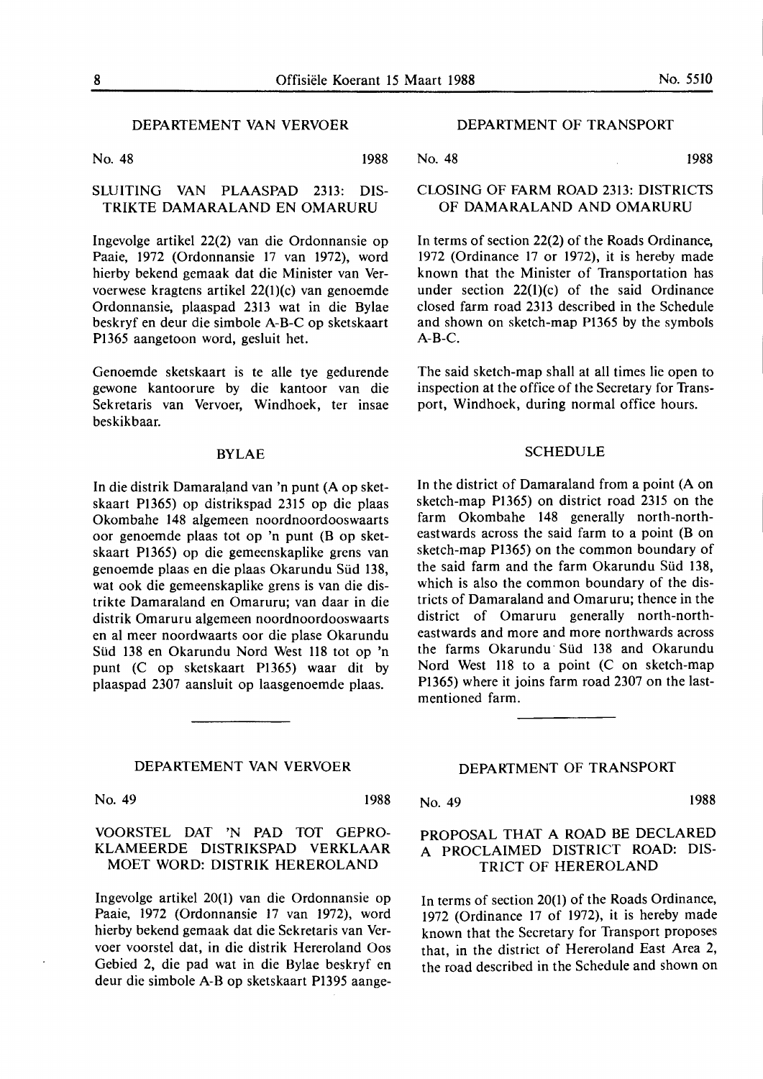#### DEPARTEMENT VAN VERVOER

No. 48 1988

#### SLUITING VAN PLAASPAD 2313: DIS-**TRIKTE DAMARALAND** EN **OMARURU**

Ingevolge artikel 22(2) van die Ordonnansie op Paaie, 1972 (Ordonnansie 17 van 1972), word hierby bekend gemaak dat die Minister van Vervoerwese kragtens artikel 22(I)(c) van genoemde Ordonnansie, plaaspad 2313 wat in die Bylae beskryf en deur die simbole A-B-C op sketskaart PI365 aangetoon word, gesluit het.

Genoemde sketskaart is te alle tye gedurende gewone kantoorure by die kantoor van die Sekretaris van Vervoer, Windhoek, ter insae beskikbaar.

#### **BYLAE**

In die distrik Damaraland van 'n punt (A op sketskaart PI365) op distrikspad 2315 op die plaas Okombahe 148 algemeen noordnoordooswaarts oor genoemde plaas tot op 'n punt (B op sketskaart Pl 365) op die gemeenskaplike grens van genoemde plaas en die plaas Okarundu Süd 138, wat ook die gemeenskaplike grens is van die distrikte Damaraland en Omaruru; van daar in die distrik Omaruru algemeen noordnoordooswaarts en al meer noordwaarts oor die plase Okarundu Süd 138 en Okarundu Nord West 118 tot op 'n punt (C op sketskaart PI365) waar dit by plaaspad 2307 aansluit op laasgenoemde plaas.

#### **DEPARTEMENT VAN VERVOER**

No. 49 1988

#### VOORSTEL DAT 'N PAD TOT GEPRO-KLAMEERDE DISTRIKSPAD VERKLAAR MOET WORD: DISTRIK HEREROLAND

Ingevolge artikel 20(1) van die Ordonnansie op Paaie, 1972 (Ordonnansie 17 van 1972), word hierby bekend gemaak dat die Sekretaris van Vervoer voorstel dat, in die distrik Hereroland Oos Gebied 2, die pad wat in die Bylae beskryf en deur die simbole A-Bop sketskaart Pl395 aange-

#### DEPARTMENT OF TRANSPORT

No. 48 1988

#### CLOSING OF **FARM ROAD** 2313: DISTRICTS **OF DAMARALAND AND OMARURU**

In terms of section 22(2) of the Roads Ordinance, 1972 (Ordinance 17 or 1972), it is hereby made known that the Minister of Transportation has under section 22(1)(c) of the said Ordinance closed farm road 2313 described in the Schedule and shown on sketch-map P1365 by the symbols  $A-B-C.$ 

The said sketch-map shall at all times lie open to inspection at the office of the Secretary for Transport, Windhoek, during normal office hours.

#### **SCHEDULE**

In the district of Damaraland from a point (A on sketch-map Pl365) on district road 2315 on the farm Okombahe 148 generally north-northeastwards across the said farm to a point (B on sketch-map Pl365) on the common boundary of the said farm and the farm Okarundu Süd 138, which is also the common boundary of the districts of Damaraland and Omaruru; thence in the district of Omaruru generally north-northeastwards and more and more northwards across the farms Okarundu Süd 138 and Okarundu Nord West II8 to a point (C on sketch-map PI365) where it joins farm road 2307 on the lastmentioned farm.

#### **DEPARTMENT** OF **TRANSPORT**

No. 49 1988

#### PROPOSAL THAT A ROAD BE DECLARED A PROCLAIMED DISTRICT ROAD: DIS-TRICT OF HEREROLAND

In terms of section 20(1) of the Roads Ordinance, 1972 (Ordinance 17 of 1972), it is hereby made known that the Secretary for Transport proposes that, in the district of Hereroland East Area 2, the road described in the Schedule and shown on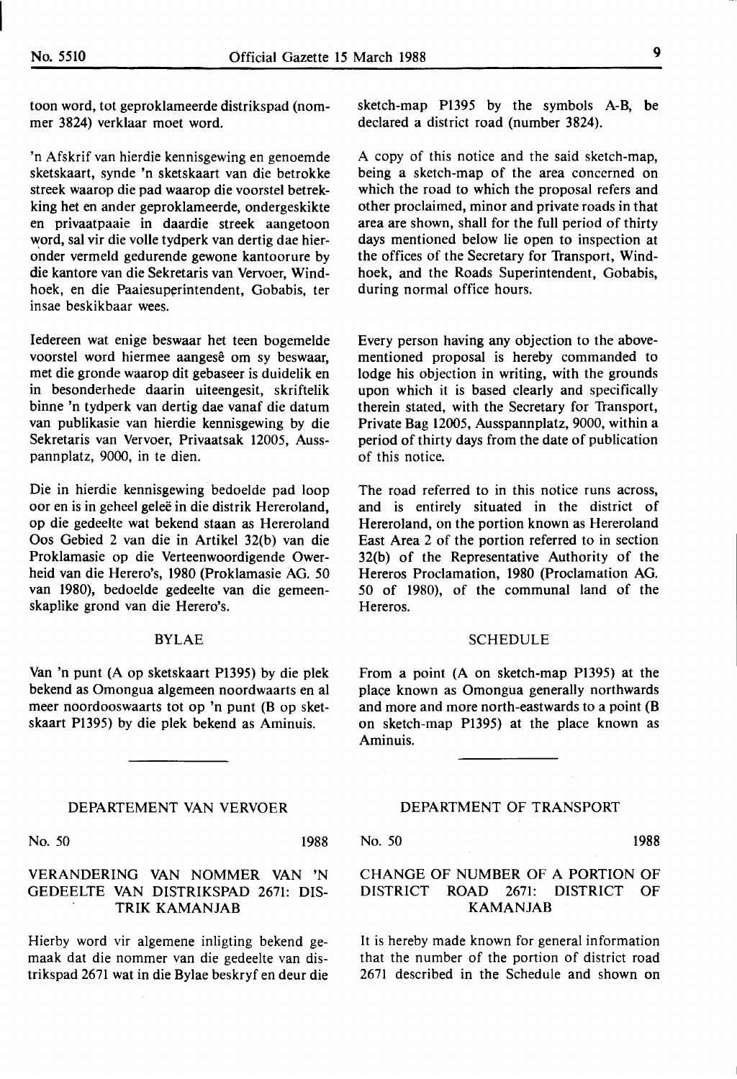toon word, tot geproklameerde distrikspad (nommer 3824) verklaar moet word.

'n Afskrif van hierdie kennisgewing en genoemde sketskaart, synde 'n sketskaart van die betrokke streek waarop die pad waarop die voorstel betrekking het en ander geproklameerde, ondergeskikte en privaatpaaie in daardie streek aangetoon word, sal vir die voile tydperk van dertig dae hieronder vermeld gedurende gewone kantoorure by die kantore van die Sekretaris van Vervoer, Windhoek, en die Paaiesuperintendent, Gobabis, ter insae beskikbaar wees.

ledereen wat enige beswaar bet teen bogemelde voorstel word hiermee aangesê om sy beswaar, met die gronde waarop dit gebaseer is duidelik en in besonderhede daarin uiteengesit, skriftelik binne 'n tydperk van dertig dae vanaf die datum van publikasie van hierdie kennisgewing by die Sekretaris van Vervoer, Privaatsak 12005, Ausspannplatz, 9000, in te dien.

Die in hierdie kennisgewing bedoelde pad loop oor en is in geheel gelee in die distrik Hereroland, op die gedeelte wat bekend staan as Hereroland Oos Gebied 2 van die in Artikel 32(b) van die Proklamasie op die Verteenwoordigende Owerheid van die Herero's, 1980 (Proklamasie AG. 50 van 1980), bedoelde gedeelte van die gemeenskaplike grond van die Herero's.

#### BYLAE

Van 'n punt (A op sketskaart P1395) by die plek bekend as Omongua algemeen noordwaarts en al meer noordooswaarts tot op 'n punt (B op sketskaart P1395) by die plek bekend as Aminuis.

#### DEPARTEMENT VAN VERVOER

No. 50 1988

VERANDERING VAN NOMMER VAN 'N GEDEELTE VAN DISTRIKSPAD 2671: DIS-TRIK **KAMANJAB** 

Hierby word vir algemene inligting bekend gemaak dat die nommer van die gedeelte van distrikspad 2671 wat in die Bylae beskryf en deur die sketch-map P1395 by the symbols A-B, be declared a district road (number 3824).

A copy of this notice and the said sketch-map, being a sketch-map of the area concerned on which the road to which the proposal refers and other proclaimed, minor and private roads in that area are shown, shall for the full period of thirty days mentioned below lie open to inspection at the offices of the Secretary for Transport, Windhoek, and the Roads Superintendent, Gobabis, during normal office hours.

Every person having any objection to the abovementioned proposal is hereby commanded to lodge his objection in writing, with the grounds upon which it is based clearly and specifically therein stated, with the Secretary for Transport, Private Bag 12005, Ausspannplatz, 9000, within a period of thirty days from the date of publication of this notice.

The road referred to in this notice runs across, and is entirely situated in the district of Hereroland, on the portion known as Hereroland East Area 2 of the portion referred to in section 32(b) of the Representative Authority of the Hereros Proclamation, 1980 (Proclamation AG. 50 of 1980), of the communal land of the Hereros.

#### SCHEDULE

From a point (A on sketch-map P1395) at the place known as Omongua generally northwards and more and more north-eastwards to a point **(B**  on sketch-map P1395) at the place known as Aminuis.

#### DEPARTMENT OF TRANSPORT

No. 50 1988

#### CHANGE OF NUMBER OF A PORTION OF DISTRICT **ROAD** 2671: DISTRICT OF **KAMANJAB**

It is hereby made known for general information that the number of the portion of district road 2671 described in the Schedule and shown on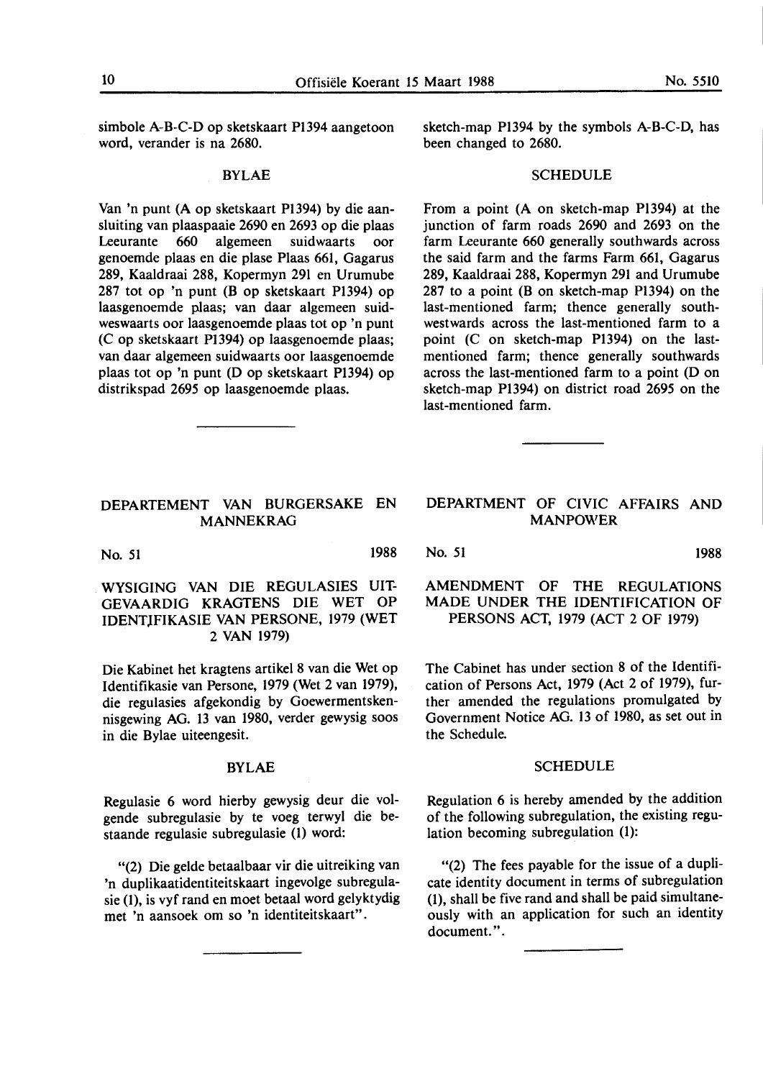simbole A-B-C-D op sketskaart Pl394 aangetoon word, verander is na 2680.

#### BYLAE

Van 'n punt (A op sketskaart P1394) by die aansluiting van plaaspaaie 2690 en 2693 op die plaas Leeurante 660 algemeen suidwaarts oor genoemde plaas en die plase Plaas 661, Gagarus 289, Kaaldraai 288, Kopermyn 291 en Urumube 287 tot op 'n punt (B op sketskaart Pl394) op laasgenoemde plaas; van daar algemeen suidweswaarts oor laasgenoemde plaas tot op 'n punt (C op sketskaart Pl394) op laasgenoemde plaas; van daar algemeen suidwaarts oor laasgenoemde plaas tot op 'n punt (D op sketskaart Pl394) op distrikspad 2695 op laasgenoemde plaas.

#### DEPARTEMENT VAN BURGERSAKE EN MANNE **KRAG**

No. 51 1988

WYSIGING VAN DIE REGULASIES UIT-GEVAARDIG KRAGTENS DIE WET OP IDENT)FIKASIE VAN PERSONE, 1979 (WET 2 VAN 1979)

Die Kabinet het kragtens artikel 8 van die Wet op Identifikasie van Persone, 1979 (Wet 2 van 1979), die regulasies afgekondig by Goewermentskennisgewing AG. 13 van 1980, verder gewysig soos in die Bylae uiteengesit.

#### **BYLAE**

Regulasie 6 word hierby gewysig deur die volgende subregulasie by te voeg terwyl die bestaande regulasie subregulasie (I) word:

"(2) Die gelde betaalbaar vir die uitreiking van 'n duplikaatidentiteitskaart ingevolge subregulasie (1), is vyf rand en moet betaal word gelyktydig met 'n aansoek om so 'n identiteitskaart".

sketch-map Pl394 by the symbols A-B-C-D, has been changed to 2680.

#### **SCHEDULE**

From a point (A on sketch-map Pl394) at the junction of farm roads 2690 and 2693 on the farm Leeurante 660 generally southwards across the said farm and the farms Farm 661, Gagarus 289, Kaaldraai 288, Kopermyn 291 and Urumube 287 to a point (B on sketch-map Pl394) on the last-mentioned farm; thence generally southwestwards across the last-mentioned farm to a point (C on sketch-map Pl394) on the lastmentioned farm; thence generally southwards across the last-mentioned farm to a point (Don sketch-map Pl394) on district road 2695 on the last-mentioned farm.

#### DEPARTMENT OF CIVIC AFFAIRS AND **MANPOWER**

No. 51 **1988** 

#### AMENDMENT OF THE REGULATIONS MADE UNDER THE IDENTIFICATION OF PERSONS ACT, 1979 (ACT 2 OF 1979)

The Cabinet has under section 8 of the Identification of Persons Act, 1979 (Act 2 of 1979), further amended the regulations promulgated by Government Notice AG. 13 of 1980, as set out in the Schedule.

#### **SCHEDULE**

Regulation 6 is hereby amended by the addition of the following subregulation, the existing regulation becoming subregulation (1):

"(2) The fees payable for the issue of a duplicate identity document in terms of subregulation (1), shall be five rand and shall be paid simultaneously with an application for such an identity document.".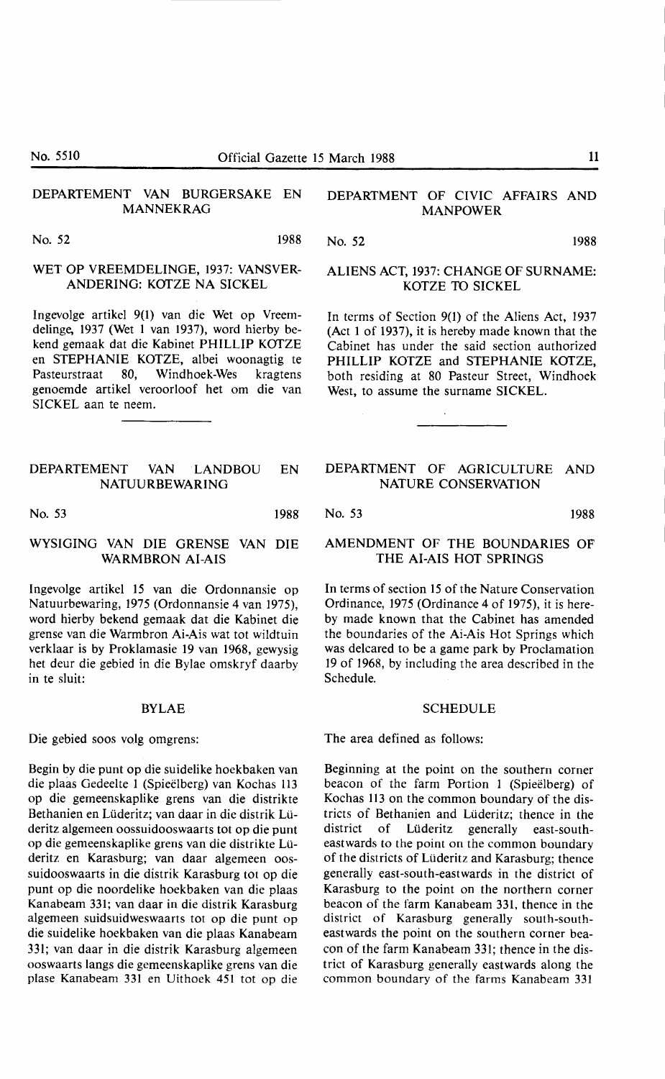No. 5510 **Official Gazette 15 March 1988** 11

#### DEPARTEMENT VAN BURGERSAKE EN MANNEKRAG

No. 52 1988

#### WET OP VREEMDELINGE, 1937: VANSVER-ANDERING: KOTZE NA SICKEL

lngevolge artikel 9(1) van die Wet op Vreemdelinge, 1937 (Wet 1 van 1937), word hierby bekend gemaak dat die Kabinet PHILLIP KOTZE en STEPHANIE KOTZE, albei woonagtig te<br>Pasteurstraat 80, Windhoek-Wes kragtens Pasteurstraat 80, Windhoek-Wes genoemde artikel veroorloof het om die van SICKEL aan te neem.

#### DEPARTEMENT VAN ·LANDBOU EN NATUURBEWARING

No. 53 1988

### WYSIGING VAN DIE GRENSE VAN DIE **WARMBRON AI-AIS**

Ingevolge artikel 15 van die Ordonnansie op Natuurbewaring, 1975 (Ordonnansie 4 van 1975), word hierby bekend gemaak dat die Kabinet die grense van die Warmbron **Ai-Ais** wat tot wildtuin verklaar is by Proklamasie 19 van 1968, gewysig het deur die gebied in die Bylae omskryf daarby in te sluit:

#### **BYLAE**

Die gebied soos volg omgrens:

Begin by die punt op die suidelike hoekbaken van die plaas Gedeelte 1 (Spieelberg) van Kochas 113 op die gemeenskaplike grens van die distrikte Bethanien en Lüderitz; van daar in die distrik Lüderitz algemeen oossuidooswaarts tot op die punt op die gemeenskaplike grens van die distrikte Lilderitz en Karasburg; van daar algemeen oossuidooswaarts in die distrik Karasburg tot op die punt op die noordelike hoekbaken van die plaas Kanabeam 331; van daar in die distrik Karasburg algemeen suidsuidweswaarts tot op die punt op die suidelike hoekbaken van die plaas Kanabeam 331; van daar in die distrik Karasburg algemeen ooswaarts langs die gemeenskaplike grens van die plase Kanabeam 331 en Uithoek 451 tot op die

#### DEPARTMENT OF CIVIC AFFAIRS AND MANPOWER

No. 52 1988

#### ALIENS ACT, 1937: CHANGE OF SURNAME: KOTZE TO SICKEL

In terms of Section 9(1) of the Aliens Act, 1937 (Act 1 of 1937), it is hereby made known that the Cabinet has under the said section authorized PHILLIP KOTZE and STEPHANIE KOTZE, both residing at 80 Pasteur Street, Windhoek West, to assume the surname SICKEL.

#### DEPARTMENT OF AGRICULTURE AND NATURE CONSERVATION

No. 53 1988

#### AMENDMENT OF THE BOUNDARIES OF THE AI-AIS HOT SPRINGS

In terms of section 15 of the Nature Conservation Ordinance, 1975 (Ordinance 4 of 1975), it is hereby made known that the Cabinet has amended the boundaries of the **Ai-Ais** Hot Springs which was delcared to be a game park by Proclamation 19 of 1968, by including the area described in the Schedule.

#### SCHEDULE

The area defined as follows:

Beginning at the point on the southern corner beacon of the farm Portion 1 (Spieelberg) of Kochas 113 on the common boundary of the districts of Bethanien and Lilderitz;' thence in the district of Liideritz generally east-southeastwards to the point on the common boundary of the districts of Lüderitz and Karasburg; thence generally east-south-eastwards in the district of Karasburg to the point on the northern corner beacon of the farm Kanabeam 331, thence in the district of Karasburg generally south-southeastwards the point on the southern corner beacon of the farm Kanabeam 331; thence in the district of Karasburg generally eastwards along the common boundary of the farms Kanabeam 331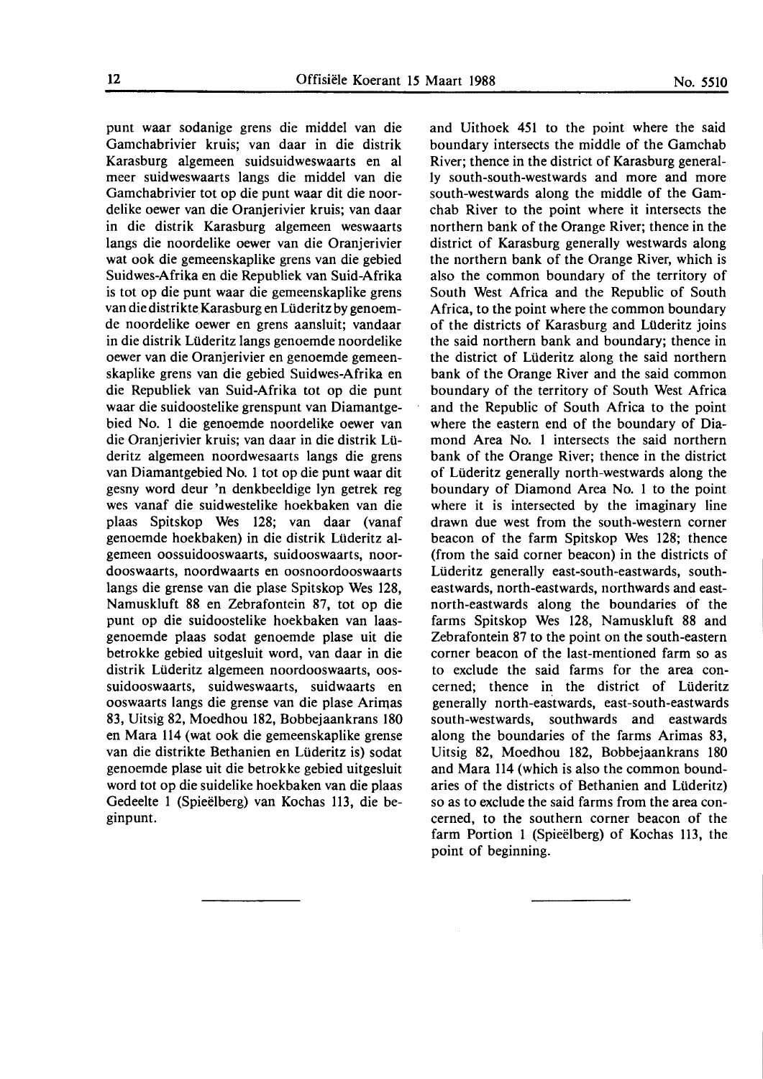punt waar sodanige grens die middel van die Gamchabrivier kruis; van daar in die distrik Karasburg algemeen suidsuidweswaarts en al meer suidweswaarts langs die middel van die Gamchabrivier tot op die punt waar dit die noordelike oewer van die Oranjerivier kruis; van daar in die distrik Karasburg algemeen weswaarts langs die noordelike oewer van die Oranjerivier wat ook die gemeenskaplike grens van die gebied Suidwes-Afrika en die Republiek van Suid-Afrika is tot op die punt waar die gemeenskaplike grens van die distrikte Karasburg en Liideritz by genoemde noordelike oewer en grens aansluit; vandaar in die distrik Lüderitz langs genoemde noordelike oewer van die Oranjerivier en genoemde gemeenskaplike grens van die gebied Suidwes-Afrika en die Republiek van Suid-Afrika tot op die punt waar die suidoostelike grenspunt van Diamantgebied No. 1 die genoemde noordelike oewer van die Oranjerivier kruis; van daar in die distrik Liideritz algemeen noordwesaarts langs die grens van Diamantgebied No. 1 tot op die punt waar dit gesny word deur 'n denkbeeldige lyn getrek reg wes vanaf die suidwestelike hoekbaken van die plaas Spitskop Wes 128; van daar (vanaf genoemde hoekbaken) in die distrik Lüderitz algemeen oossuidooswaarts, suidooswaarts, noordooswaarts, noordwaarts en oosnoordooswaarts langs die grense van die plase Spitskop Wes 128, Namuskluft 88 en Zebrafontein 87, tot op die punt op die suidoostelike hoekbaken van laasgenoemde plaas sodat genoemde plase uit die betrokke gebied uitgesluit word, van daar in die distrik Liideritz algemeen noordooswaarts, oossuidooswaarts, suidweswaarts, suidwaarts en ooswaarts langs die grense van die plase Arimas 83, Uitsig 82, Moedhou 182, Bobbejaankrans 180 en Mara 114 (wat ook die gemeenskaplike grense van die distrikte Bethanien en Liideritz is) sodat genoemde plase uit die betrokke gebied uitgesluit word tot op die suidelike hoekbaken van die plaas Gedeelte l (Spieelberg) van Kochas 113, die beginpunt.

and Uithoek 451 to the point where the said boundary intersects the middle of the Gamchab River; thence in the district of Karasburg generally south-south-westwards and more and more south-westwards along the middle of the Gamchab River to the point where it intersects the northern bank of the Orange River; thence in the district of Karasburg generally westwards along the northern bank of the Orange River, which is also the common boundary of the territory of South West Africa and the Republic of South Africa, to the point where the common boundary of the districts of Karasburg and Lüderitz joins the said northern bank and boundary; thence in the district of Liideritz along the said northern bank of the Orange River and the said common boundary of the territory of South West Africa and the Republic of South Africa to the point where the eastern end of the boundary of Diamond Area No. l intersects the said northern bank of the Orange River; thence in the district of Liideritz generally north-westwards along the boundary of Diamond Area No. 1 to the point where it is intersected by the imaginary line drawn due west from the south-western corner beacon of the farm Spitskop **Wes 128;** thence (from the said corner beacon) in the districts of Liideritz generally east-south-eastwards, southeastwards, north-eastwards, northwards and eastnorth-eastwards along the boundaries of the farms Spitskop Wes 128, Namuskluft 88 and Zebrafontein 87 to the point on the south-eastern corner beacon of the last-mentioned farm so as to exclude the said farms for the area concerned; thence in the district of Liideritz generally north-eastwards, east-south-eastwards south-westwards, southwards and eastwards along the boundaries of the farms Arimas 83, Uitsig 82, Moedhou 182, Bobbejaankrans 180 and Mara 114 (which is also the common boundaries of the districts of Bethanien and Liideritz) so as to exclude the said farms from the area concerned, to the southern corner beacon of the farm Portion 1 (Spieelberg) of Kochas 113, the point of beginning.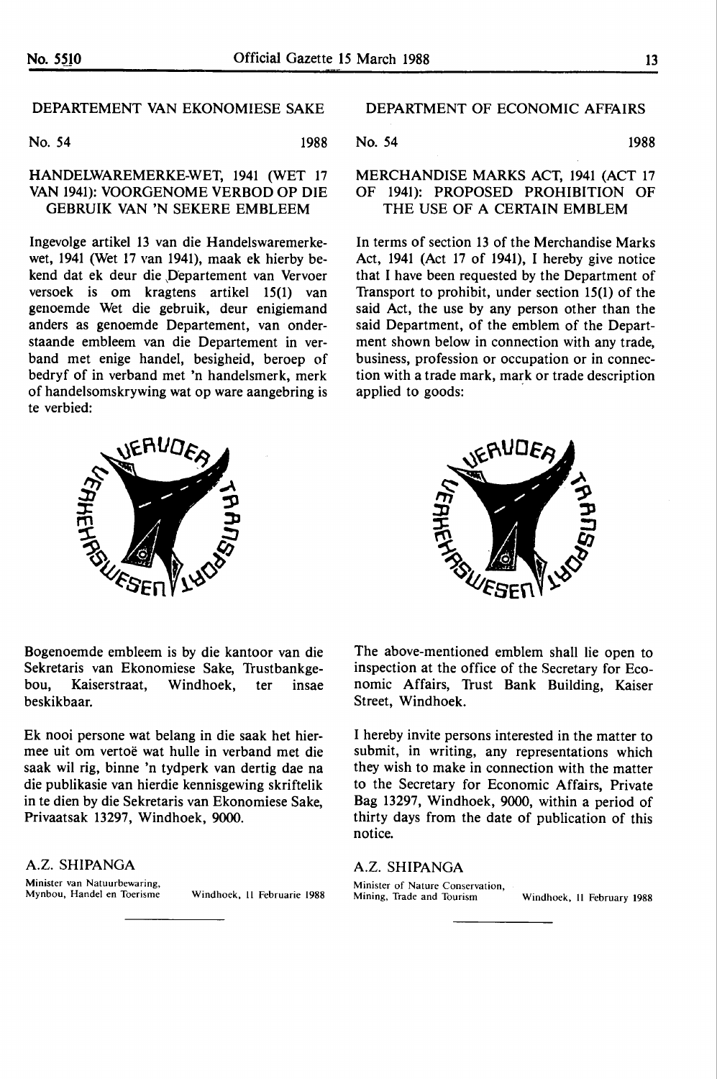#### DEPARTEMENT VAN EKONOMIESE SAKE

No. 54 1988

### HANDELWAREMERKE-WET, 1941 (WET 17 VAN 1941): VOORGENOME VERBOD OP DIE GEBRUIK **VAN 'N** SEKERE EMBLEEM

Ingevolge artikel 13 van die Handelswaremerkewet, 1941 (Wet 17 van 1941), maak ek hierby bekend dat ek deur die Departement van Vervoer versoek is om kragtens artikel 15(1) van genoemde Wet die gebruik, deur enigiemand anders as genoemde Departement, van onderstaande embleem van die Departement in verband met enige handel, besigheid, beroep of bedryf of in verband met 'n handelsmerk, merk of handelsomskrywing wat op ware aangebring is te verbied:



DEPARTMENT OF ECONOMIC AFFAIRS

$$
No. 54
$$
 1988

#### MERCHANDISE **MARKS** ACT, 1941 (ACT 17 OF 1941): PROPOSED PROHIBITION OF THE USE OF A CERTAIN EMBLEM

In terms of section 13 of the Merchandise Marks Act, 1941 (Act 17 of 1941), I hereby give notice that I have been requested by the Department of Transport to prohibit, under section 15(1) of the said Act, the use by any person other than the said Department, of the emblem of the Department shown below in connection with any trade, business, profession or occupation or in connection with a trade mark, mark or trade description applied to goods:



Bogenoemde embleem is by die kantoor van die Sekretaris van Ekonomiese Sake, Trustbankgebou, Kaiserstraat, Windhoek, ter insae beskikbaar.

Ek nooi persone wat belang in die saak het hiermee uit om vertoe wat hulle in verband met die saak wil rig, binne 'n tydperk van dertig dae na die publikasie van hierdie kennisgewing skriftelik in te dien by die Sekretaris van Ekonomiese Sake, Privaatsak 13297, Windhoek, 9000.

#### **A.Z. SHIPANGA**

Minister van Natuurbewaring,<br>Mynbou, Handel en Toerisme

Windhoek, H Februarie 1988

The above-mentioned emblem shall lie open to inspection at the office of the Secretary for Economic Affairs, Trust Bank Building, Kaiser Street, Windhoek.

I hereby invite persons interested in the matter to submit, in writing, any representations which they wish to make in connection with the matter to the Secretary for Economic Affairs, Private Bag 13297, Windhoek, 9000, within a period of thirty days from the date of publication of this notice.

#### **A.Z. SHIPANGA**

Minister of Nature Conservation,<br>Mining, Trade and Tourism Windhoek, 11 February 1988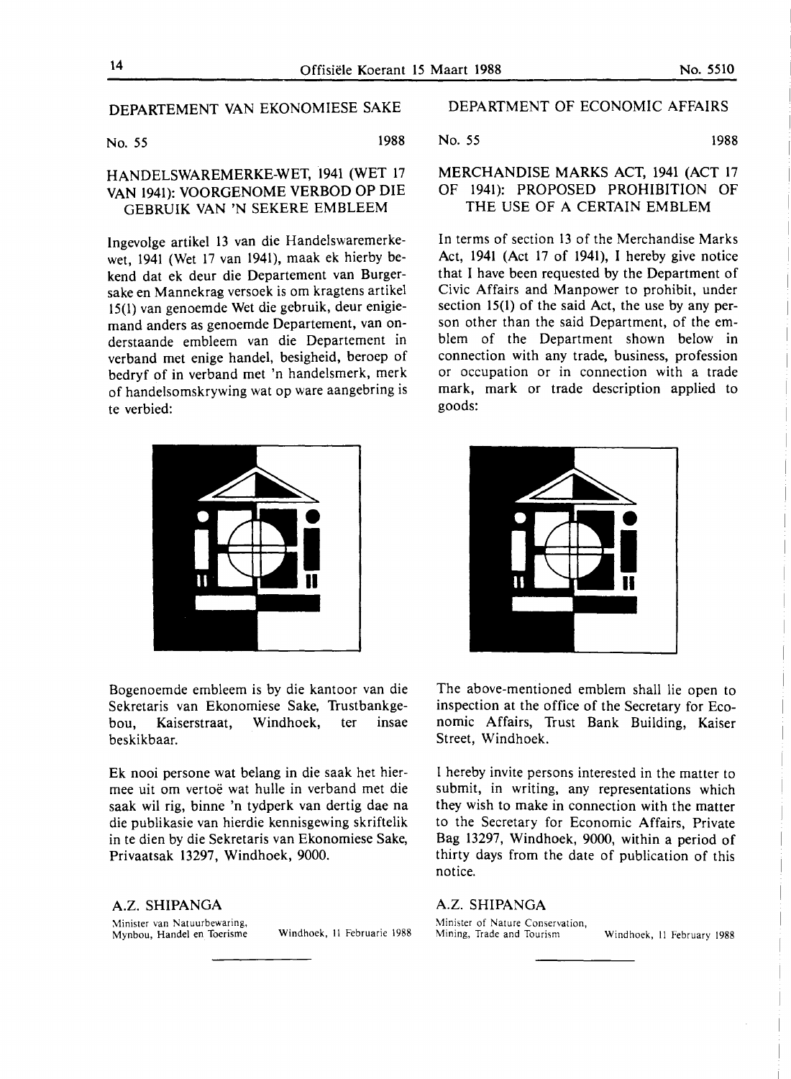#### DEPARTEMENT VAN EKONOMIESE SAKE

No. 55 1988

### HANDELSWAREMERKE-WET, 1941 (WET 17 VAN 1941): VOORGENOME VERBOD OP DIE GEBRUIK **VAN 'N** SEKERE EMBLEEM

lngevolge artikel 13 van die Handelswaremerkewet, 1941 (Wet 17 van 1941), maak ek hierby bekend dat ek deur die Departement van Burgersake en Mannekrag versoek is om kragtens artikel 15(1) van genoemde Wet die gebruik, deur enigiemand anders as genoemde Departement, van onderstaande embleem van die Departement in verband met enige handel, besigheid, beroep of bedryf of in verband met 'n handelsmerk, merk of handelsomskrywing wat op ware aangebring is te verbied:



Bogenoemde embleem is by die kantoor van die Sekretaris van Ekonomiese Sake, Trustbankgebou, Kaiserstraat, Windhoek, ter insae beskikbaar.

Ek nooi persone wat belang in die saak het hiermee uit om vertoe wat hulle in verband met die saak wil rig, binne 'n tydperk van dertig dae na die publikasie van hierdie kennisgewing skriftelik in te dien by die Sekretaris van Ekonomiese Sake, Privaatsak 13297, Windhoek, 9000.

**A.Z. SHIPANGA**  Minister van Natuurbewaring,

Mynbou, Handel en Toerisme Windhoek, II Februarie 1988

#### DEPARTMENT OF ECONOMIC AFFAIRS

#### No. 55 1988

#### MERCHANDISE **MARKS** ACT, 1941 (ACT 17 OF 1941): PROPOSED PROHIBITION OF THE USE OF A CERTAIN EMBLEM

In terms of section 13 of the Merchandise Marks Act, 1941 (Act 17 of 1941), I hereby give notice that I have been requested by the Department of Civic Affairs and Manpower to prohibit, under section 15(1) of the said Act, the use by any person other than the said Department, of the emblem of the Department shown below in connection with any trade, business, profession or occupation or in connection with a trade mark, mark or trade description applied to goods:



The above-mentioned emblem shall lie open to inspection at the office of the Secretary for Economic Affairs, Trust Bank Building, Kaiser Street, Windhoek.

I hereby invite persons interested in the matter to submit, in writing, any representations which they wish to make in connection with the matter to the Secretary for Economic Affairs, Private Bag 13297, Windhoek, 9000, within a period of thirty days from the date of publication of this notice.

#### **A.Z. SHIPANGA**

Minister of Nature Conservation,<br>Mining, Trade and Tourism

Windhoek, II February 1988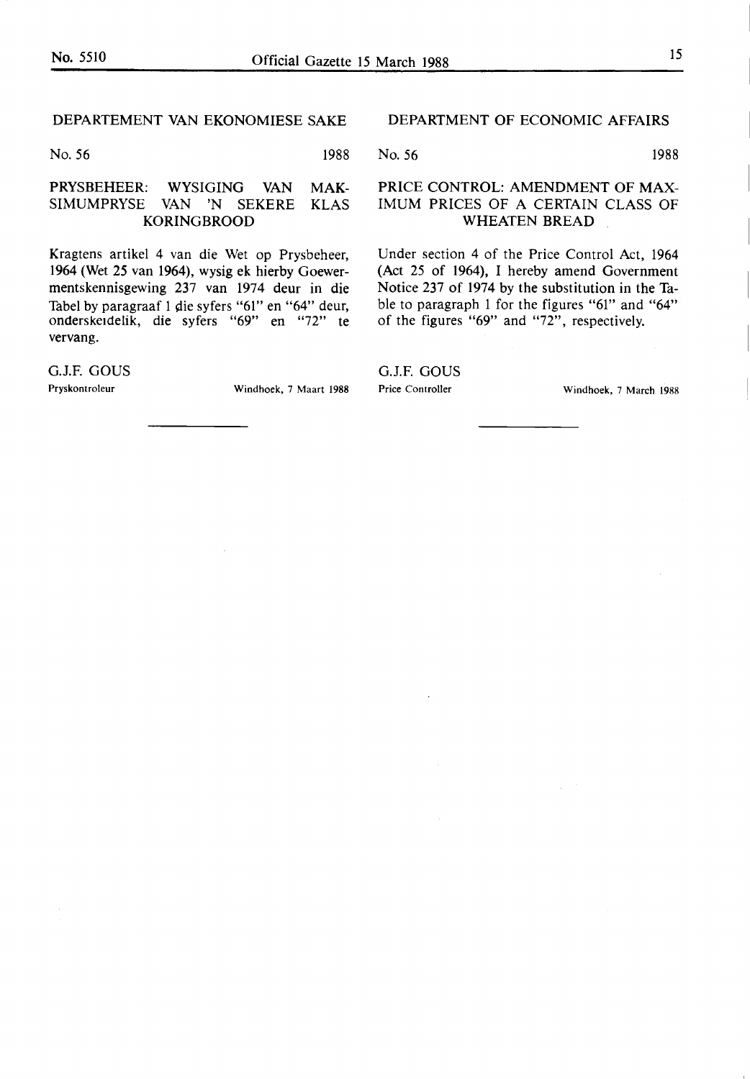#### DEPARTEMENT VAN EKONOMIESE SAKE

No. 56 1988

#### PRYSBEHEER: WYSIGING VAN MAK-SIMUMPRYSE VAN 'N SEKERE KLAS **KORINGBROOD**

Kragtens artikel 4 van die Wet op Prysbeheer, 1964 (Wet 25 van 1964), wysig ek hierby Goewermentskennisgewing 237 van 1974 deur in die Tabel by paragraaf 1 die syfers "61" en "64" deur, onderske1delik, die syfers "69" en "72" te vervang.

G.J.F. GOUS

Pryskontroleur Windhoek, 7 Maart 1988

#### DEPARTMENT OF ECONOMIC AFFAIRS

No. 56 1988

#### PRICE CONTROL: AMENDMENT OF MAX-IMUM PRICES OF A CERTAIN CLASS OF WHEATEN BREAD

Under section 4 of the Price Control Act, 1964 (Act 25 of 1964), I hereby amend Government Notice 237 of 1974 by the substitution in the Table to paragraph 1 for the figures "61" and "64" of the figures "69" and "72", respectively.

G.J.F. *GOVS* 

Price Controller Windhoek, 7 March 1988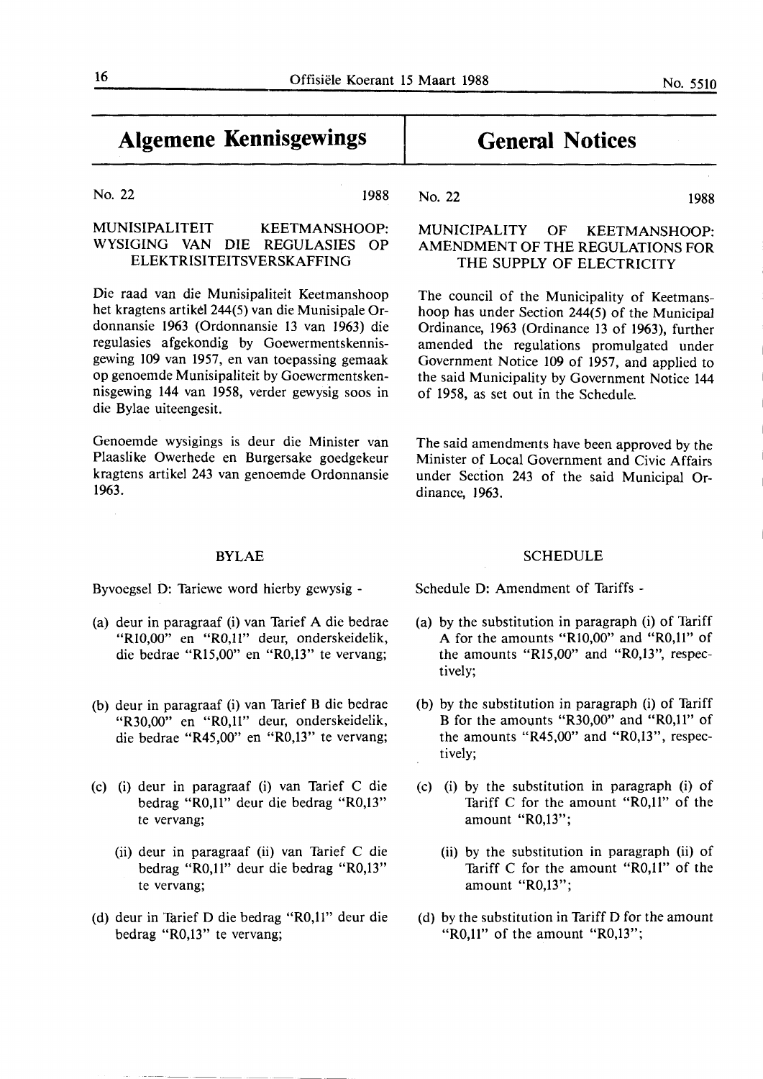#### No. 22 1988

#### MUNISIPALITEIT KEETMANSHOOP: WYSIGING VAN DIE REGULASIES OP ELEKTRISITEITSVERSKAFFING

Die raad van die Munisipaliteit Keetmanshoop het kragtens artikel 244(5) van die Munisipale Ordonnansie 1963 (Ordonnansie 13 van 1963) die regulasies afgekondig by Goewermentskennisgewing 109 van 1957, en van toepassing gemaak op genoemde Munisipaliteit by Goewermentskennisgewing 144 van 1958, verder gewysig soos in die Bylae uiteengesit.

Genoemde wysigings is deur die Minister van Plaaslike Owerhede en Burgersake goedgekeur kragtens artikel 243 van genoemde Ordonnansie 1963.

### **SCHEDULE**

The said amendments have been approved by the Minister of Local Government and Civic Affairs under Section 243 of the said Municipal Or-

Schedule D: Amendment of Tariffs -

of 1958, as set out in the Schedule.

dinance, **1963.** 

- (a) by the substitution in paragraph (i) of Tariff A for the amounts "Rl0,00" and "R0,11" of the amounts "Rl5,00" and "R0,13", respectively;
- (b) by the substitution in paragraph (i) of Tariff B for the amounts "R30,00" and "R0,11" of the amounts "R45,00" and "R0,13", respec**tively;**
- (c) (i) by the substitution in paragraph (i) of Tariff C for the amount "R0,11" of the amount "R0,13";
	- (ii) by the substitution in paragraph (ii) of Tariff C for the amount "R0,11" of the amount "R0,13";
- (d) by the substitution in Tariff D for the amount "R0,11" of the amount "R0,13";

### BYLAE

Byvoegsel D: Tariewe word hierby gewysig -

- (a) deur in paragraaf (i) van Tarief A die bedrae "Rl0,00" en "R0,11" deur, onderskeidelik, die bedrae "Rl5,00" en "R0,13" te vervang;
- (b) deur in paragraaf (i) van Tarief B die bedrae **"R30,00"** en **"R0,11"** deur, onderskeidelik, die bedrae "R45,00" en "R0,13" te vervang;
- (c) (i) deur in paragraaf (i) van Tarief C die bedrag "R0,11" deur die bedrag "R0,13" te vervang;
	- (ii) deur in paragraaf (ii) van Tarief C die bedrag **"R0,11"** deur die bedrag **"R0,13"**  te vervang;
- (d) deur in Tarief D die bedrag "R0,11" deur die bedrag "R0,13" te vervang;

# **General Notices**

## No. 22 1988 **MUNICIPALITY OF KEETMANSHOOP:**

**AMENDMENT OF THE REGULATIONS FOR**  THE SUPPLY OF ELECTRICITY

The council of the Municipality of Keetmanshoop has under Section 244(5) of the Municipal Ordinance, 1963 (Ordinance 13 of 1963), further amended the regulations promulgated under Government Notice 109 of 1957, and applied to the said Municipality by Government Notice 144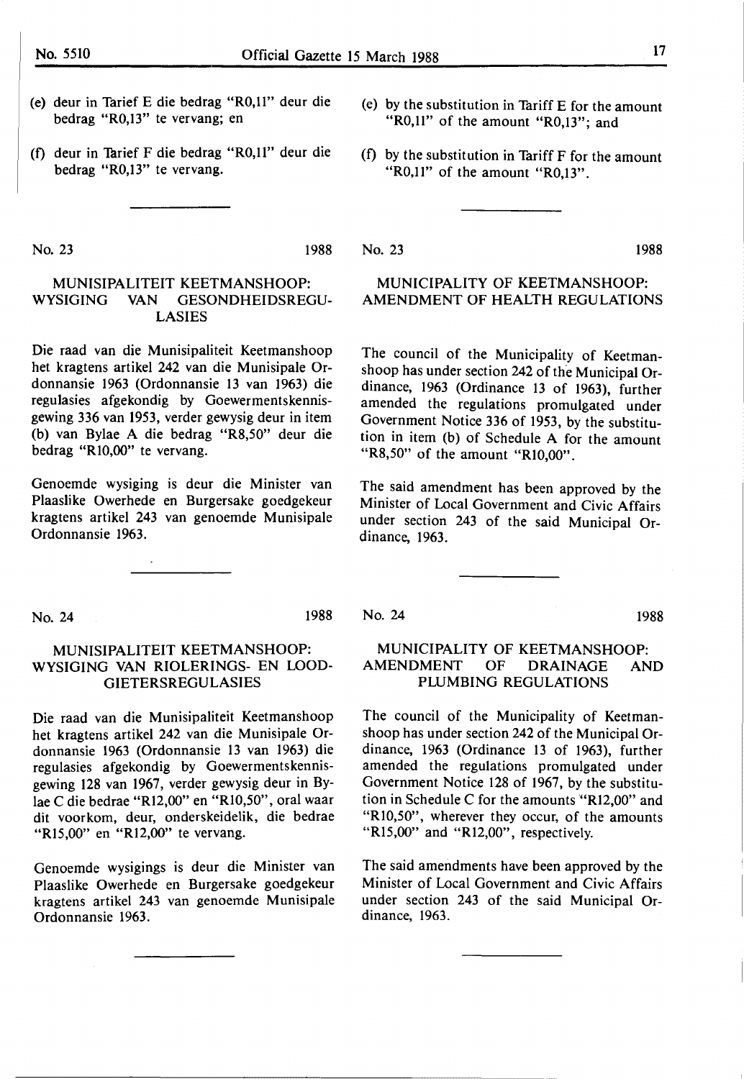- (e) deur in Tarief E die bedrag "R0,11" deur die bedrag "R0,13" te vervang; en
- (f) deur in Tarief F die bedrag "R0,11" deur die bedrag "R0,13" te vervang.
- (e) by the substitution in Tariff E for the amount "R0,11" of the amount "R0,13"; and
- (f) by the substitution in Tariff  $F$  for the amount "R0,11" of the amount "R0,13".

**MUNICIPALITY** OF **KEETMANSHOOP: AMENDMENT OF HEALTH REGULATIONS** 

The council of the Municipality of Keetman-

No. 23 1988

#### No. 23 1988

#### MUNISIPALITEIT KEETMANSHOOP: WYSIGING VAN GESONDHEIDSREGU-LASIES

Die raad van die Munisipaliteit Keetmanshoop het kragtens artikel 242 van die Munisipale Ordonnansie 1963 (Ordonnansie 13 van 1963) die regulasies afgekondig by Goewermentskennisgewing 336 van 1953, verder gewysig deur in item (b) van Bylae A die bedrag "R8,50" deur die bedrag **"RI0,00"** te vervang.

Genoemde wysiging is deur die Minister van Plaaslike Owerhede en Burgersake goedgekeur kragtens artikel 243 van genoemde Munisipale Ordonnansie 1963.

No. 24 1988

#### MUNISIPALITEIT KEETMANSHOOP: WYSIGING VAN RIOLERINGS- EN LOOD-GIETERSREGULASIES

Die raad van die Munisipaliteit Keetmanshoop het kragtens artikel 242 van die Munisipale Ordonnansie 1963 (Ordonnansie 13 van 1963) die regulasies afgekondig by Goewermentskennisgewing 128 van 1967, verder gewysig deur in Bylae C die bedrae "Rl2,00" en "RI0,50", oral waar dit voorkom, deur, onderskeidelik, die bedrae "R15,00" en "R12,00" te vervang.

Genoemde wysigings is deur die Minister van Plaaslike Owerhede en Burgersake goedgekeur kragtens artikel 243 van genoemde Munisipale Ordonnansie 1963.

No. 24 1988

# shoop has under section 242 of the Municipal Or-

dinance, 1963 (Ordinance 13 of 1963), further amended the regulations promulgated under Government Notice 336 of 1953, by the substitution in item (b) of Schedule A for the amount **"R8,50"** of the amount **"RI0,00".** 

The said amendment has been approved by the Minister of Local Government and Civic Affairs under section 243 of the said Municipal Ordinance, 1963.

#### **MUNICIPALITY** OF **KEETMANSHOOP: AMENDMENT OF DRAINAGE AND PLUMBING REGULATIONS**

The council of the Municipality of Keetmanshoop has under section 242 of the Municipal Ordinance, 1963 (Ordinance 13 of 1963), further amended the regulations promulgated under Government Notice 128 of 1967, by the substitution in Schedule C for the amounts "Rl2,00" and "RI0,50", wherever they occur, of the amounts "R15,00" and "R12,00", respectively.

The said amendments have been approved by the Minister of Local Government and Civic Affairs under section 243 of the said Municipal Ordinance, 1963.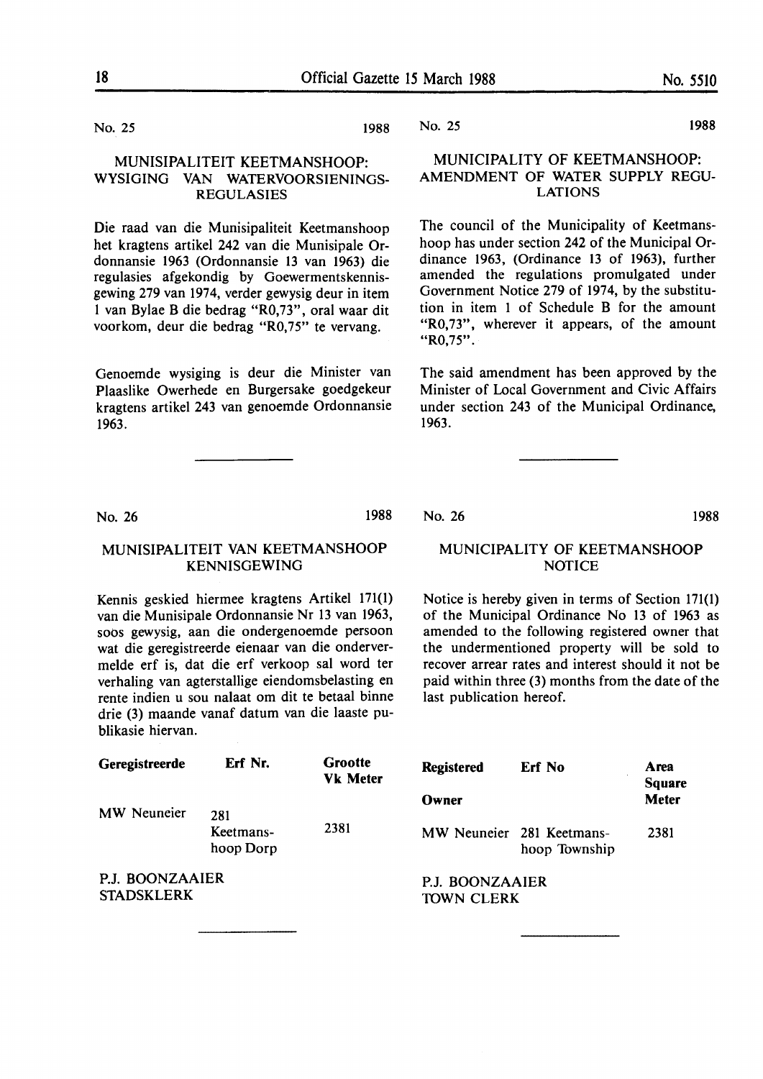No. 25 1988

#### MUNISIPALITEIT KEETMANSHOOP: WYSIGING VAN WATERVOORSIENINGS-REGULASIES

Die raad van die Munisipaliteit Keetmanshoop het kragtens artikel 242 van die Munisipale Ordonnansie 1963 (Ordonnansie 13 van 1963) die regulasies afgekondig by Goewermentskennisgewing 279 van 1974, verder gewysig deur in item I van Bylae B die bedrag "R0,73", oral waar dit voorkom, deur die bedrag "R0,75" te vervang.

Genoemde wysiging is deur die Minister van Plaaslike Owerhede en Burgersake goedgekeur kragtens artikel 243 van genoemde Ordonnansie 1963.

No. 25 1988

#### MUNICIPALITY OF KEETMANSHOOP: AMENDMENT OF WATER SUPPLY REGU-**LATIONS**

The council of the Municipality of Keetmanshoop has under section 242 of the Municipal Ordinance 1963, (Ordinance 13 of 1963), further amended the regulations promulgated under Government Notice 279 of 1974, by the substitution in item 1 of Schedule B for the amount "R0,73", wherever it appears, of the amount **"R0,75".** 

The said amendment has been approved by the Minister of Local Government and Civic Affairs under section 243 of the Municipal Ordinance, 1963.

No. 26 1988

#### MUNISIPALITEIT VAN KEETMANSHOOP KENNISGEWING

Kennis geskied hiermee kragtens Artikel 171(1) van die Munisipale Ordonnansie Nr 13 van 1963, soos gewysig, aan die ondergenoemde persoon wat die geregistreerde eienaar van die ondervermelde erf is, dat die erf verkoop sal word ter verhaling van agterstallige eiendomsbelasting en rente indien u sou nalaat om dit te betaal binne drie (3) maande vanaf datum van die laaste publikasie hiervan.

No. 26 **1988** 

#### MUNICIPALITY OF KEETMANSHOOP NOTICE

Notice is hereby given in terms of Section 171(1) of the Municipal Ordinance No 13 of 1963 as amended to the following registered owner that the undermentioned property will be sold to recover arrear rates and interest should it not be paid within three (3) months from the date of the last publication hereof.

| Geregistreerde                       | Erf Nr.                       | Grootte<br><b>Vk Meter</b> | <b>Registered</b>                    | <b>Erf No</b>                              | Area<br><b>Square</b> |
|--------------------------------------|-------------------------------|----------------------------|--------------------------------------|--------------------------------------------|-----------------------|
|                                      |                               |                            | Owner                                |                                            | <b>Meter</b>          |
| MW Neuneier                          | 281<br>Keetmans-<br>hoop Dorp | 2381                       |                                      | MW Neuneier 281 Keetmans-<br>hoop Township | 2381                  |
| P.J. BOONZAAIER<br><b>STADSKLERK</b> |                               |                            | P.J. BOONZAAIER<br><b>TOWN CLERK</b> |                                            |                       |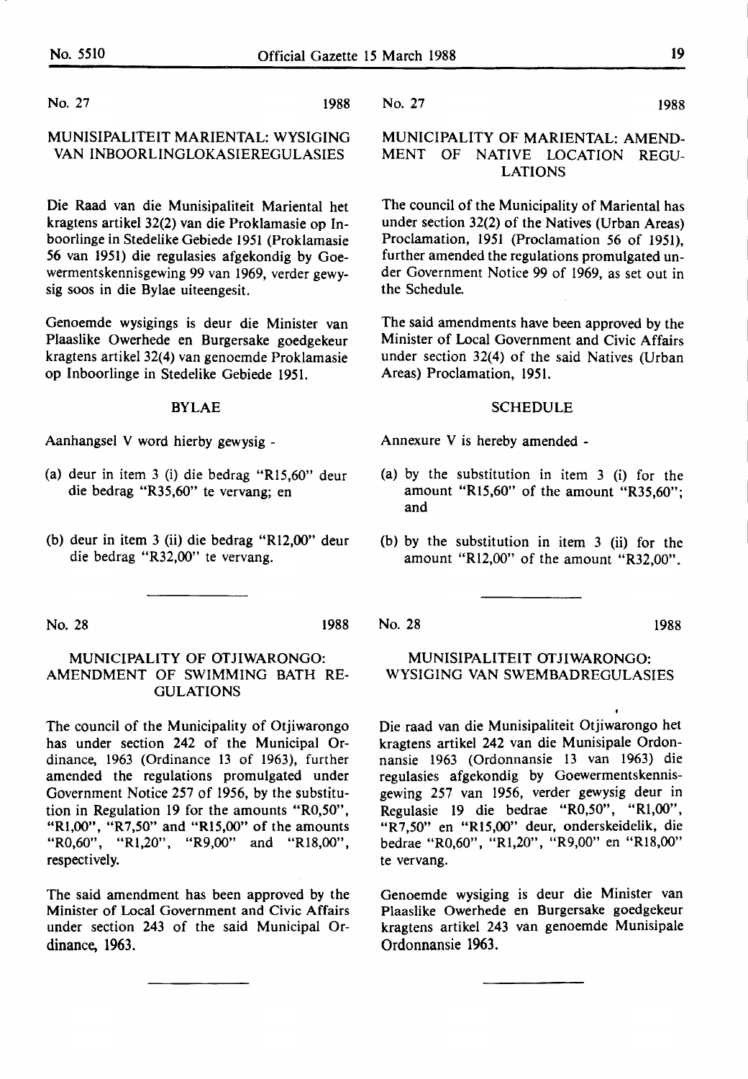No. 27 1988

#### MUNISIPALITEIT MARIENTAL: WYSIGING VAN INBOORLINGLOKASIEREGULASIES

Die Raad van die Munisipaliteit Mariental bet kragtens artikel 32(2) van die Proklamasie op Inboorlinge in Stedelike Gebiede 1951 (Proklamasie *56* van 1951) die regulasies afgekondig by Goewermentskennisgewing 99 van 1969, verder gewysig soos in die Bylae uiteengesit.

Genoemde wysigings is deur die Minister van Plaaslike Owerhede en Burgersake goedgekeur kragtens artikel 32(4) van genoemde Proklamasie op lnboorlinge in Stedelike Gebiede 1951.

#### BYLAE

Aanhangsel V word hierby gewysig -

- (a) deur in item 3 (i) die bedrag "Rl5,60" deur die bedrag "R35,60" te vervang; en
- (b) deur in item 3 (ii) die bedrag "R $12,00$ " deur die bedrag "R32,00" te vervang.

No. 28 1988

#### MUNICIPALITY OF OTJIWARONGO: AMENDMENT OF SWIMMING BATH RE-GULATIONS

The council of the Municipality of Otjiwarongo has under section 242 of the Municipal Ordinance, 1963 (Ordinance 13 of 1963), further amended the regulations promulgated under Government Notice 257 of 1956, by the substitution in Regulation 19 for the amounts "R0,50", "Rl,00", "R7,50" and "Rl5,00" of the amounts "R0,60", "Rl,20", "R9,00" and "Rl8,00", respectively.

The said amendment has been approved by the Minister of Local Government and Civic Affairs under section 243 of the said Municipal Ordinance, 1963.

No. 27 1988

#### MUNICIPALITY OF MARIENTAL: AMEND-MENT OF NATIVE LOCATION REGU-LATIONS

The council of the Municipality of Mariental has under section 32(2) of the Natives (Urban Areas) Proclamation, 1951 (Proclamation 56 of 1951), further amended the regulations promulgated under Government Notice 99 of 1969, as set out in the Schedule.

The said amendments have been approved by the Minister of Local Government and Civic Affairs under section 32(4) of the said Natives (Urban Areas) Proclamation, 1951.

#### SCHEDULE

Annexure V is hereby amended -

- (a) by the substitution in item 3 (i) for the amount "Rl5,60" of the amount "R35,60"; and
- (b) by the substitution in item 3 (ii) for the amount "Rl2,00" of the amount "R32,00".

No. 28 1988

#### MUNISIPALITEIT OTJIWARONGO: WYSIGING VAN SWEMBADREGULASIES

Die raad van die Munisipaliteit Otjiwarongo bet kragtens artikel 242 van die Munisipale Ordonnansie 1963 (Ordonnansie 13 van 1963) die regulasies afgekondig by Goewermentskennisgewing 257 van 1956, verder gewysig deur in Regulasie 19 die bedrae "R0,50", "Rl,00", "R7,50" en "Rl5,00" deur, onderskeidelik, die bedrae "R0,60", "Rl,20", "R9,00" en "Rl8,00" te vervang.

Genoemde wysiging is deur die Minister van Plaaslike Owerhede en Burgersake goedgekeur kragtens artikel 243 van genoemde Munisipale Ordonnansie 1963.